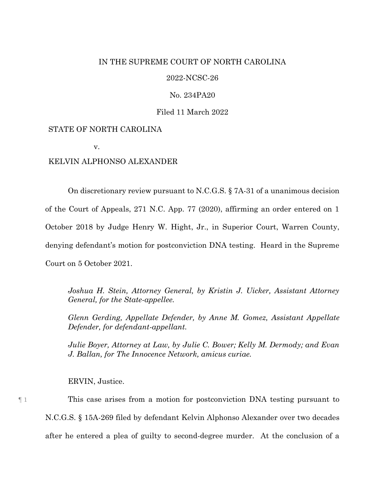## IN THE SUPREME COURT OF NORTH CAROLINA

## 2022-NCSC-26

## No. 234PA20

## Filed 11 March 2022

# STATE OF NORTH CAROLINA

v.

## KELVIN ALPHONSO ALEXANDER

On discretionary review pursuant to N.C.G.S. § 7A-31 of a unanimous decision of the Court of Appeals, 271 N.C. App. 77 (2020), affirming an order entered on 1 October 2018 by Judge Henry W. Hight, Jr., in Superior Court, Warren County, denying defendant's motion for postconviction DNA testing. Heard in the Supreme Court on 5 October 2021.

*Joshua H. Stein, Attorney General, by Kristin J. Uicker, Assistant Attorney General, for the State-appellee.*

*Glenn Gerding, Appellate Defender, by Anne M. Gomez, Assistant Appellate Defender, for defendant-appellant.*

*Julie Boyer, Attorney at Law, by Julie C. Bower; Kelly M. Dermody; and Evan J. Ballan, for The Innocence Network, amicus curiae.*

ERVIN, Justice.

¶ 1 This case arises from a motion for postconviction DNA testing pursuant to N.C.G.S. § 15A-269 filed by defendant Kelvin Alphonso Alexander over two decades after he entered a plea of guilty to second-degree murder. At the conclusion of a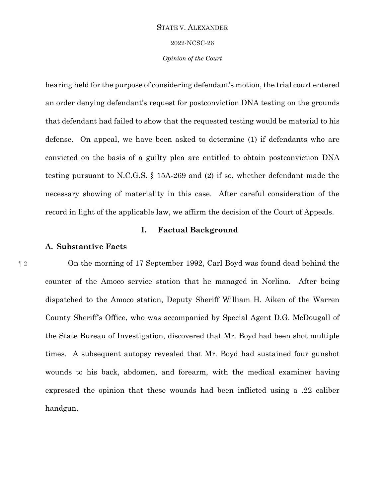2022-NCSC-26

*Opinion of the Court*

hearing held for the purpose of considering defendant's motion, the trial court entered an order denying defendant's request for postconviction DNA testing on the grounds that defendant had failed to show that the requested testing would be material to his defense. On appeal, we have been asked to determine (1) if defendants who are convicted on the basis of a guilty plea are entitled to obtain postconviction DNA testing pursuant to N.C.G.S. § 15A-269 and (2) if so, whether defendant made the necessary showing of materiality in this case. After careful consideration of the record in light of the applicable law, we affirm the decision of the Court of Appeals.

## **I. Factual Background**

# **A. Substantive Facts**

¶ 2 On the morning of 17 September 1992, Carl Boyd was found dead behind the counter of the Amoco service station that he managed in Norlina. After being dispatched to the Amoco station, Deputy Sheriff William H. Aiken of the Warren County Sheriff's Office, who was accompanied by Special Agent D.G. McDougall of the State Bureau of Investigation, discovered that Mr. Boyd had been shot multiple times. A subsequent autopsy revealed that Mr. Boyd had sustained four gunshot wounds to his back, abdomen, and forearm, with the medical examiner having expressed the opinion that these wounds had been inflicted using a .22 caliber handgun.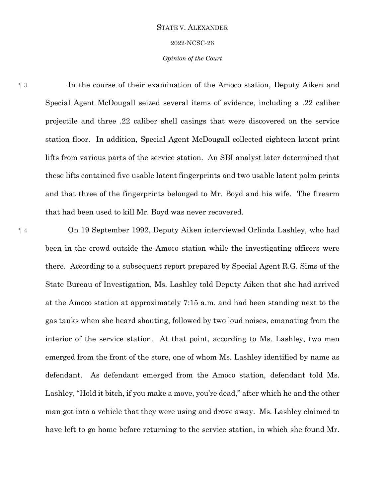#### 2022-NCSC-26

## *Opinion of the Court*

¶ 3 In the course of their examination of the Amoco station, Deputy Aiken and Special Agent McDougall seized several items of evidence, including a .22 caliber projectile and three .22 caliber shell casings that were discovered on the service station floor. In addition, Special Agent McDougall collected eighteen latent print lifts from various parts of the service station. An SBI analyst later determined that these lifts contained five usable latent fingerprints and two usable latent palm prints and that three of the fingerprints belonged to Mr. Boyd and his wife. The firearm that had been used to kill Mr. Boyd was never recovered.

¶ 4 On 19 September 1992, Deputy Aiken interviewed Orlinda Lashley, who had been in the crowd outside the Amoco station while the investigating officers were there. According to a subsequent report prepared by Special Agent R.G. Sims of the State Bureau of Investigation, Ms. Lashley told Deputy Aiken that she had arrived at the Amoco station at approximately 7:15 a.m. and had been standing next to the gas tanks when she heard shouting, followed by two loud noises, emanating from the interior of the service station. At that point, according to Ms. Lashley, two men emerged from the front of the store, one of whom Ms. Lashley identified by name as defendant. As defendant emerged from the Amoco station, defendant told Ms. Lashley, "Hold it bitch, if you make a move, you're dead," after which he and the other man got into a vehicle that they were using and drove away. Ms. Lashley claimed to have left to go home before returning to the service station, in which she found Mr.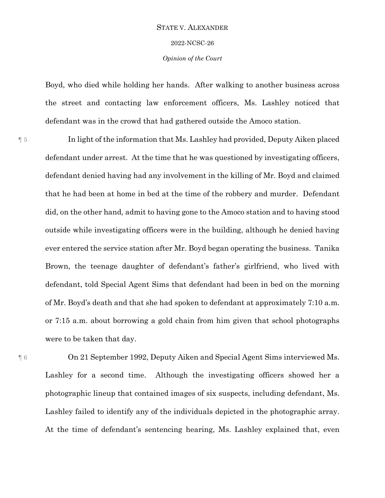# STATE V. ALEXANDER 2022-NCSC-26 *Opinion of the Court*

Boyd, who died while holding her hands. After walking to another business across the street and contacting law enforcement officers, Ms. Lashley noticed that defendant was in the crowd that had gathered outside the Amoco station.

¶ 5 In light of the information that Ms. Lashley had provided, Deputy Aiken placed defendant under arrest. At the time that he was questioned by investigating officers, defendant denied having had any involvement in the killing of Mr. Boyd and claimed that he had been at home in bed at the time of the robbery and murder. Defendant did, on the other hand, admit to having gone to the Amoco station and to having stood outside while investigating officers were in the building, although he denied having ever entered the service station after Mr. Boyd began operating the business. Tanika Brown, the teenage daughter of defendant's father's girlfriend, who lived with defendant, told Special Agent Sims that defendant had been in bed on the morning of Mr. Boyd's death and that she had spoken to defendant at approximately 7:10 a.m. or 7:15 a.m. about borrowing a gold chain from him given that school photographs were to be taken that day.

¶ 6 On 21 September 1992, Deputy Aiken and Special Agent Sims interviewed Ms. Lashley for a second time. Although the investigating officers showed her a photographic lineup that contained images of six suspects, including defendant, Ms. Lashley failed to identify any of the individuals depicted in the photographic array. At the time of defendant's sentencing hearing, Ms. Lashley explained that, even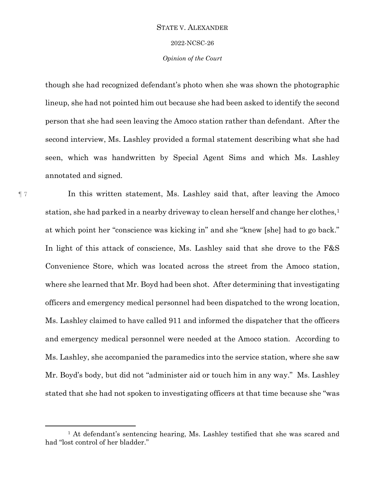2022-NCSC-26

## *Opinion of the Court*

though she had recognized defendant's photo when she was shown the photographic lineup, she had not pointed him out because she had been asked to identify the second person that she had seen leaving the Amoco station rather than defendant. After the second interview, Ms. Lashley provided a formal statement describing what she had seen, which was handwritten by Special Agent Sims and which Ms. Lashley annotated and signed.

¶ 7 In this written statement, Ms. Lashley said that, after leaving the Amoco station, she had parked in a nearby driveway to clean herself and change her clothes,<sup>1</sup> at which point her "conscience was kicking in" and she "knew [she] had to go back." In light of this attack of conscience, Ms. Lashley said that she drove to the F&S Convenience Store, which was located across the street from the Amoco station, where she learned that Mr. Boyd had been shot. After determining that investigating officers and emergency medical personnel had been dispatched to the wrong location, Ms. Lashley claimed to have called 911 and informed the dispatcher that the officers and emergency medical personnel were needed at the Amoco station. According to Ms. Lashley, she accompanied the paramedics into the service station, where she saw Mr. Boyd's body, but did not "administer aid or touch him in any way." Ms. Lashley stated that she had not spoken to investigating officers at that time because she "was

 $\overline{a}$ 

 $<sup>1</sup>$  At defendant's sentencing hearing, Ms. Lashley testified that she was scared and</sup> had "lost control of her bladder."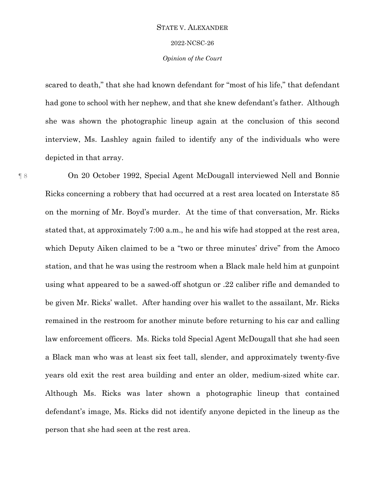#### 2022-NCSC-26

## *Opinion of the Court*

scared to death," that she had known defendant for "most of his life," that defendant had gone to school with her nephew, and that she knew defendant's father. Although she was shown the photographic lineup again at the conclusion of this second interview, Ms. Lashley again failed to identify any of the individuals who were depicted in that array.

¶ 8 On 20 October 1992, Special Agent McDougall interviewed Nell and Bonnie Ricks concerning a robbery that had occurred at a rest area located on Interstate 85 on the morning of Mr. Boyd's murder. At the time of that conversation, Mr. Ricks stated that, at approximately 7:00 a.m., he and his wife had stopped at the rest area, which Deputy Aiken claimed to be a "two or three minutes' drive" from the Amoco station, and that he was using the restroom when a Black male held him at gunpoint using what appeared to be a sawed-off shotgun or .22 caliber rifle and demanded to be given Mr. Ricks' wallet. After handing over his wallet to the assailant, Mr. Ricks remained in the restroom for another minute before returning to his car and calling law enforcement officers. Ms. Ricks told Special Agent McDougall that she had seen a Black man who was at least six feet tall, slender, and approximately twenty-five years old exit the rest area building and enter an older, medium-sized white car. Although Ms. Ricks was later shown a photographic lineup that contained defendant's image, Ms. Ricks did not identify anyone depicted in the lineup as the person that she had seen at the rest area.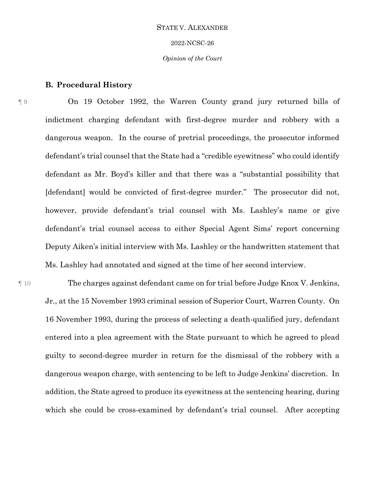# STATE V. ALEXANDER 2022-NCSC-26 *Opinion of the Court*

## **B. Procedural History**

¶ 9 On 19 October 1992, the Warren County grand jury returned bills of indictment charging defendant with first-degree murder and robbery with a dangerous weapon. In the course of pretrial proceedings, the prosecutor informed defendant's trial counsel that the State had a "credible eyewitness" who could identify defendant as Mr. Boyd's killer and that there was a "substantial possibility that [defendant] would be convicted of first-degree murder." The prosecutor did not, however, provide defendant's trial counsel with Ms. Lashley's name or give defendant's trial counsel access to either Special Agent Sims' report concerning Deputy Aiken's initial interview with Ms. Lashley or the handwritten statement that Ms. Lashley had annotated and signed at the time of her second interview.

¶ 10 The charges against defendant came on for trial before Judge Knox V. Jenkins, Jr., at the 15 November 1993 criminal session of Superior Court, Warren County. On 16 November 1993, during the process of selecting a death-qualified jury, defendant entered into a plea agreement with the State pursuant to which he agreed to plead guilty to second-degree murder in return for the dismissal of the robbery with a dangerous weapon charge, with sentencing to be left to Judge Jenkins' discretion. In addition, the State agreed to produce its eyewitness at the sentencing hearing, during which she could be cross-examined by defendant's trial counsel. After accepting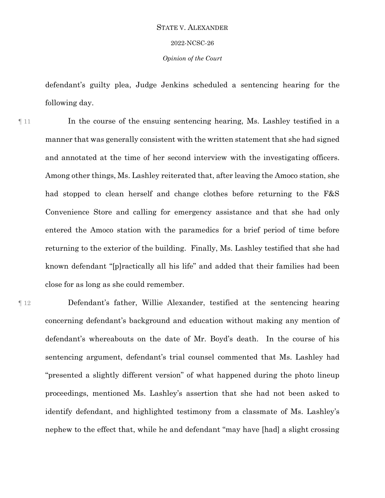# STATE V. ALEXANDER 2022-NCSC-26

*Opinion of the Court*

defendant's guilty plea, Judge Jenkins scheduled a sentencing hearing for the following day.

¶ 11 In the course of the ensuing sentencing hearing, Ms. Lashley testified in a manner that was generally consistent with the written statement that she had signed and annotated at the time of her second interview with the investigating officers. Among other things, Ms. Lashley reiterated that, after leaving the Amoco station, she had stopped to clean herself and change clothes before returning to the F&S Convenience Store and calling for emergency assistance and that she had only entered the Amoco station with the paramedics for a brief period of time before returning to the exterior of the building. Finally, Ms. Lashley testified that she had known defendant "[p]ractically all his life" and added that their families had been close for as long as she could remember.

¶ 12 Defendant's father, Willie Alexander, testified at the sentencing hearing concerning defendant's background and education without making any mention of defendant's whereabouts on the date of Mr. Boyd's death. In the course of his sentencing argument, defendant's trial counsel commented that Ms. Lashley had "presented a slightly different version" of what happened during the photo lineup proceedings, mentioned Ms. Lashley's assertion that she had not been asked to identify defendant, and highlighted testimony from a classmate of Ms. Lashley's nephew to the effect that, while he and defendant "may have [had] a slight crossing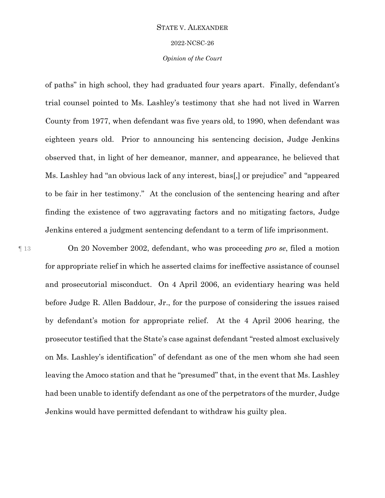#### 2022-NCSC-26

## *Opinion of the Court*

of paths" in high school, they had graduated four years apart. Finally, defendant's trial counsel pointed to Ms. Lashley's testimony that she had not lived in Warren County from 1977, when defendant was five years old, to 1990, when defendant was eighteen years old. Prior to announcing his sentencing decision, Judge Jenkins observed that, in light of her demeanor, manner, and appearance, he believed that Ms. Lashley had "an obvious lack of any interest, bias[,] or prejudice" and "appeared to be fair in her testimony." At the conclusion of the sentencing hearing and after finding the existence of two aggravating factors and no mitigating factors, Judge Jenkins entered a judgment sentencing defendant to a term of life imprisonment.

¶ 13 On 20 November 2002, defendant, who was proceeding *pro se*, filed a motion for appropriate relief in which he asserted claims for ineffective assistance of counsel and prosecutorial misconduct. On 4 April 2006, an evidentiary hearing was held before Judge R. Allen Baddour, Jr., for the purpose of considering the issues raised by defendant's motion for appropriate relief. At the 4 April 2006 hearing, the prosecutor testified that the State's case against defendant "rested almost exclusively on Ms. Lashley's identification" of defendant as one of the men whom she had seen leaving the Amoco station and that he "presumed" that, in the event that Ms. Lashley had been unable to identify defendant as one of the perpetrators of the murder, Judge Jenkins would have permitted defendant to withdraw his guilty plea.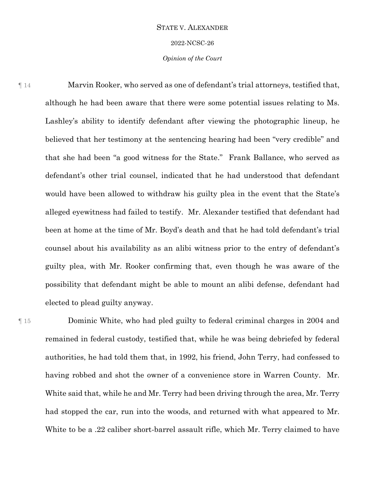2022-NCSC-26

## *Opinion of the Court*

¶ 14 Marvin Rooker, who served as one of defendant's trial attorneys, testified that, although he had been aware that there were some potential issues relating to Ms. Lashley's ability to identify defendant after viewing the photographic lineup, he believed that her testimony at the sentencing hearing had been "very credible" and that she had been "a good witness for the State." Frank Ballance, who served as defendant's other trial counsel, indicated that he had understood that defendant would have been allowed to withdraw his guilty plea in the event that the State's alleged eyewitness had failed to testify. Mr. Alexander testified that defendant had been at home at the time of Mr. Boyd's death and that he had told defendant's trial counsel about his availability as an alibi witness prior to the entry of defendant's guilty plea, with Mr. Rooker confirming that, even though he was aware of the possibility that defendant might be able to mount an alibi defense, defendant had elected to plead guilty anyway.

¶ 15 Dominic White, who had pled guilty to federal criminal charges in 2004 and remained in federal custody, testified that, while he was being debriefed by federal authorities, he had told them that, in 1992, his friend, John Terry, had confessed to having robbed and shot the owner of a convenience store in Warren County. Mr. White said that, while he and Mr. Terry had been driving through the area, Mr. Terry had stopped the car, run into the woods, and returned with what appeared to Mr. White to be a .22 caliber short-barrel assault rifle, which Mr. Terry claimed to have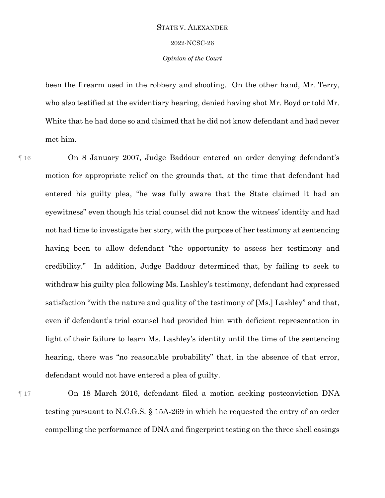# 2022-NCSC-26

## *Opinion of the Court*

been the firearm used in the robbery and shooting. On the other hand, Mr. Terry, who also testified at the evidentiary hearing, denied having shot Mr. Boyd or told Mr. White that he had done so and claimed that he did not know defendant and had never met him.

¶ 16 On 8 January 2007, Judge Baddour entered an order denying defendant's motion for appropriate relief on the grounds that, at the time that defendant had entered his guilty plea, "he was fully aware that the State claimed it had an eyewitness" even though his trial counsel did not know the witness' identity and had not had time to investigate her story, with the purpose of her testimony at sentencing having been to allow defendant "the opportunity to assess her testimony and credibility." In addition, Judge Baddour determined that, by failing to seek to withdraw his guilty plea following Ms. Lashley's testimony, defendant had expressed satisfaction "with the nature and quality of the testimony of [Ms.] Lashley" and that, even if defendant's trial counsel had provided him with deficient representation in light of their failure to learn Ms. Lashley's identity until the time of the sentencing hearing, there was "no reasonable probability" that, in the absence of that error, defendant would not have entered a plea of guilty.

¶ 17 On 18 March 2016, defendant filed a motion seeking postconviction DNA testing pursuant to N.C.G.S. § 15A-269 in which he requested the entry of an order compelling the performance of DNA and fingerprint testing on the three shell casings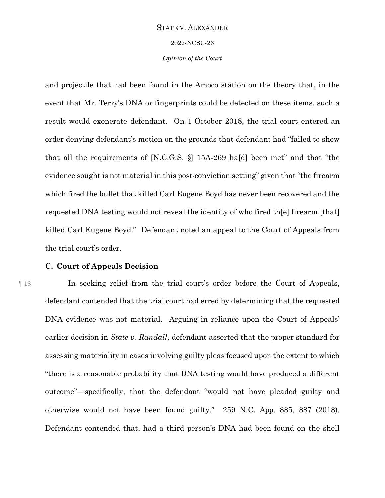#### 2022-NCSC-26

## *Opinion of the Court*

and projectile that had been found in the Amoco station on the theory that, in the event that Mr. Terry's DNA or fingerprints could be detected on these items, such a result would exonerate defendant. On 1 October 2018, the trial court entered an order denying defendant's motion on the grounds that defendant had "failed to show that all the requirements of [N.C.G.S. §] 15A-269 ha[d] been met" and that "the evidence sought is not material in this post-conviction setting" given that "the firearm which fired the bullet that killed Carl Eugene Boyd has never been recovered and the requested DNA testing would not reveal the identity of who fired th[e] firearm [that] killed Carl Eugene Boyd." Defendant noted an appeal to the Court of Appeals from the trial court's order.

## **C. Court of Appeals Decision**

¶ 18 In seeking relief from the trial court's order before the Court of Appeals, defendant contended that the trial court had erred by determining that the requested DNA evidence was not material. Arguing in reliance upon the Court of Appeals' earlier decision in *State v. Randall*, defendant asserted that the proper standard for assessing materiality in cases involving guilty pleas focused upon the extent to which "there is a reasonable probability that DNA testing would have produced a different outcome"—specifically, that the defendant "would not have pleaded guilty and otherwise would not have been found guilty." 259 N.C. App. 885, 887 (2018). Defendant contended that, had a third person's DNA had been found on the shell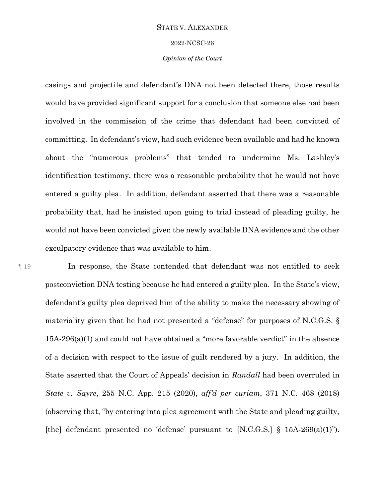#### 2022-NCSC-26

## *Opinion of the Court*

casings and projectile and defendant's DNA not been detected there, those results would have provided significant support for a conclusion that someone else had been involved in the commission of the crime that defendant had been convicted of committing. In defendant's view, had such evidence been available and had he known about the "numerous problems" that tended to undermine Ms. Lashley's identification testimony, there was a reasonable probability that he would not have entered a guilty plea. In addition, defendant asserted that there was a reasonable probability that, had he insisted upon going to trial instead of pleading guilty, he would not have been convicted given the newly available DNA evidence and the other exculpatory evidence that was available to him.

¶ 19 In response, the State contended that defendant was not entitled to seek postconviction DNA testing because he had entered a guilty plea. In the State's view, defendant's guilty plea deprived him of the ability to make the necessary showing of materiality given that he had not presented a "defense" for purposes of N.C.G.S. § 15A-296(a)(1) and could not have obtained a "more favorable verdict" in the absence of a decision with respect to the issue of guilt rendered by a jury. In addition, the State asserted that the Court of Appeals' decision in *Randall* had been overruled in *State v. Sayre*, 255 N.C. App. 215 (2020), *aff'd per curiam*, 371 N.C. 468 (2018) (observing that, "by entering into plea agreement with the State and pleading guilty, [the] defendant presented no 'defense' pursuant to [N.C.G.S.] § 15A-269(a)(1)").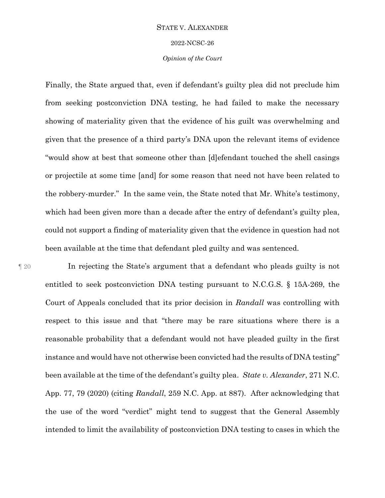#### 2022-NCSC-26

## *Opinion of the Court*

Finally, the State argued that, even if defendant's guilty plea did not preclude him from seeking postconviction DNA testing, he had failed to make the necessary showing of materiality given that the evidence of his guilt was overwhelming and given that the presence of a third party's DNA upon the relevant items of evidence "would show at best that someone other than [d]efendant touched the shell casings or projectile at some time [and] for some reason that need not have been related to the robbery-murder." In the same vein, the State noted that Mr. White's testimony, which had been given more than a decade after the entry of defendant's guilty plea, could not support a finding of materiality given that the evidence in question had not been available at the time that defendant pled guilty and was sentenced.

¶ 20 In rejecting the State's argument that a defendant who pleads guilty is not entitled to seek postconviction DNA testing pursuant to N.C.G.S. § 15A-269, the Court of Appeals concluded that its prior decision in *Randall* was controlling with respect to this issue and that "there may be rare situations where there is a reasonable probability that a defendant would not have pleaded guilty in the first instance and would have not otherwise been convicted had the results of DNA testing" been available at the time of the defendant's guilty plea. *State v. Alexander*, 271 N.C. App. 77, 79 (2020) (citing *Randall*, 259 N.C. App. at 887). After acknowledging that the use of the word "verdict" might tend to suggest that the General Assembly intended to limit the availability of postconviction DNA testing to cases in which the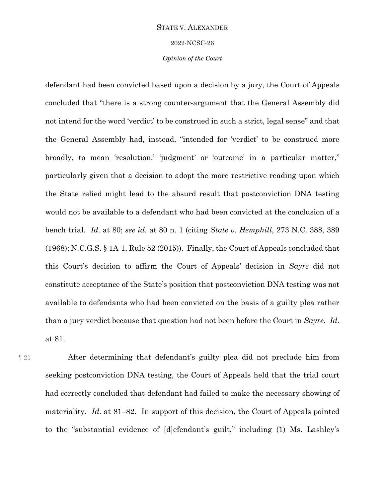2022-NCSC-26

## *Opinion of the Court*

defendant had been convicted based upon a decision by a jury, the Court of Appeals concluded that "there is a strong counter-argument that the General Assembly did not intend for the word 'verdict' to be construed in such a strict, legal sense" and that the General Assembly had, instead, "intended for 'verdict' to be construed more broadly, to mean 'resolution,' 'judgment' or 'outcome' in a particular matter," particularly given that a decision to adopt the more restrictive reading upon which the State relied might lead to the absurd result that postconviction DNA testing would not be available to a defendant who had been convicted at the conclusion of a bench trial. *Id*. at 80; *see id*. at 80 n. 1 (citing *State v. Hemphill*, 273 N.C. 388, 389 (1968); N.C.G.S. § 1A-1, Rule 52 (2015)). Finally, the Court of Appeals concluded that this Court's decision to affirm the Court of Appeals' decision in *Sayre* did not constitute acceptance of the State's position that postconviction DNA testing was not available to defendants who had been convicted on the basis of a guilty plea rather than a jury verdict because that question had not been before the Court in *Sayre*. *Id*. at 81.

¶ 21 After determining that defendant's guilty plea did not preclude him from seeking postconviction DNA testing, the Court of Appeals held that the trial court had correctly concluded that defendant had failed to make the necessary showing of materiality. *Id*. at 81–82. In support of this decision, the Court of Appeals pointed to the "substantial evidence of [d]efendant's guilt," including (1) Ms. Lashley's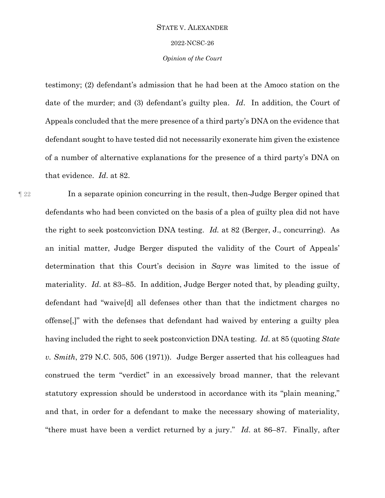#### 2022-NCSC-26

## *Opinion of the Court*

testimony; (2) defendant's admission that he had been at the Amoco station on the date of the murder; and (3) defendant's guilty plea. *Id*. In addition, the Court of Appeals concluded that the mere presence of a third party's DNA on the evidence that defendant sought to have tested did not necessarily exonerate him given the existence of a number of alternative explanations for the presence of a third party's DNA on that evidence. *Id*. at 82.

¶ 22 In a separate opinion concurring in the result, then-Judge Berger opined that defendants who had been convicted on the basis of a plea of guilty plea did not have the right to seek postconviction DNA testing. *Id.* at 82 (Berger, J., concurring). As an initial matter, Judge Berger disputed the validity of the Court of Appeals' determination that this Court's decision in *Sayre* was limited to the issue of materiality. *Id*. at 83–85. In addition, Judge Berger noted that, by pleading guilty, defendant had "waive[d] all defenses other than that the indictment charges no offense[,]" with the defenses that defendant had waived by entering a guilty plea having included the right to seek postconviction DNA testing. *Id*. at 85 (quoting *State v. Smith*, 279 N.C. 505, 506 (1971)). Judge Berger asserted that his colleagues had construed the term "verdict" in an excessively broad manner, that the relevant statutory expression should be understood in accordance with its "plain meaning," and that, in order for a defendant to make the necessary showing of materiality, "there must have been a verdict returned by a jury." *Id*. at 86–87. Finally, after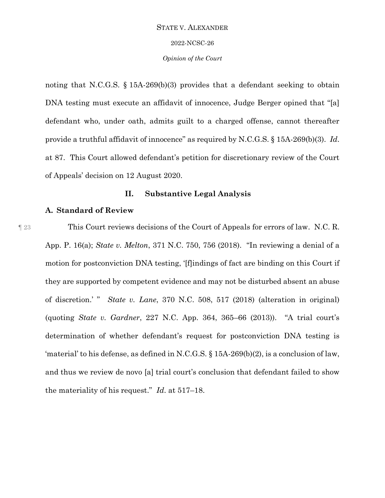2022-NCSC-26

## *Opinion of the Court*

noting that N.C.G.S. § 15A-269(b)(3) provides that a defendant seeking to obtain DNA testing must execute an affidavit of innocence, Judge Berger opined that "[a] defendant who, under oath, admits guilt to a charged offense, cannot thereafter provide a truthful affidavit of innocence" as required by N.C.G.S. § 15A-269(b)(3). *Id*. at 87. This Court allowed defendant's petition for discretionary review of the Court of Appeals' decision on 12 August 2020.

# **II. Substantive Legal Analysis**

## **A. Standard of Review**

¶ 23 This Court reviews decisions of the Court of Appeals for errors of law. N.C. R. App. P. 16(a); *State v. Melton*, 371 N.C. 750, 756 (2018). "In reviewing a denial of a motion for postconviction DNA testing, '[f]indings of fact are binding on this Court if they are supported by competent evidence and may not be disturbed absent an abuse of discretion.' " *State v. Lane*, 370 N.C. 508, 517 (2018) (alteration in original) (quoting *State v. Gardner*, 227 N.C. App. 364, 365–66 (2013)). "A trial court's determination of whether defendant's request for postconviction DNA testing is 'material' to his defense, as defined in N.C.G.S. § 15A-269(b)(2), is a conclusion of law, and thus we review de novo [a] trial court's conclusion that defendant failed to show the materiality of his request." *Id*. at 517–18.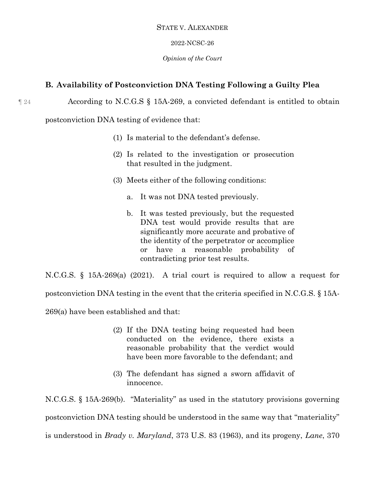## 2022-NCSC-26

## *Opinion of the Court*

# **B. Availability of Postconviction DNA Testing Following a Guilty Plea**

¶ 24 According to N.C.G.S § 15A-269, a convicted defendant is entitled to obtain

postconviction DNA testing of evidence that:

- (1) Is material to the defendant's defense.
- (2) Is related to the investigation or prosecution that resulted in the judgment.
- (3) Meets either of the following conditions:
	- a. It was not DNA tested previously.
	- b. It was tested previously, but the requested DNA test would provide results that are significantly more accurate and probative of the identity of the perpetrator or accomplice or have a reasonable probability of contradicting prior test results.

N.C.G.S. § 15A-269(a) (2021). A trial court is required to allow a request for

postconviction DNA testing in the event that the criteria specified in N.C.G.S. § 15A-

269(a) have been established and that:

- (2) If the DNA testing being requested had been conducted on the evidence, there exists a reasonable probability that the verdict would have been more favorable to the defendant; and
- (3) The defendant has signed a sworn affidavit of innocence.

N.C.G.S. § 15A-269(b). "Materiality" as used in the statutory provisions governing postconviction DNA testing should be understood in the same way that "materiality" is understood in *Brady v. Maryland*, 373 U.S. 83 (1963), and its progeny, *Lane*, 370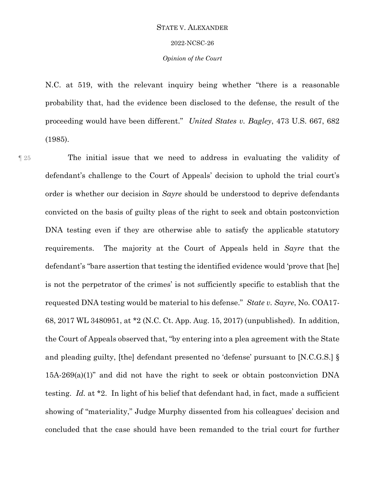#### 2022-NCSC-26

## *Opinion of the Court*

N.C. at 519, with the relevant inquiry being whether "there is a reasonable probability that, had the evidence been disclosed to the defense, the result of the proceeding would have been different." *United States v. Bagley*, 473 U.S. 667, 682 (1985).

¶ 25 The initial issue that we need to address in evaluating the validity of defendant's challenge to the Court of Appeals' decision to uphold the trial court's order is whether our decision in *Sayre* should be understood to deprive defendants convicted on the basis of guilty pleas of the right to seek and obtain postconviction DNA testing even if they are otherwise able to satisfy the applicable statutory requirements. The majority at the Court of Appeals held in *Sayre* that the defendant's "bare assertion that testing the identified evidence would 'prove that [he] is not the perpetrator of the crimes' is not sufficiently specific to establish that the requested DNA testing would be material to his defense." *State v. Sayre*, No. COA17- 68, 2017 WL 3480951, at \*2 (N.C. Ct. App. Aug. 15, 2017) (unpublished). In addition, the Court of Appeals observed that, "by entering into a plea agreement with the State and pleading guilty, [the] defendant presented no 'defense' pursuant to [N.C.G.S.] § 15A-269(a)(1)" and did not have the right to seek or obtain postconviction DNA testing. *Id.* at \*2. In light of his belief that defendant had, in fact, made a sufficient showing of "materiality," Judge Murphy dissented from his colleagues' decision and concluded that the case should have been remanded to the trial court for further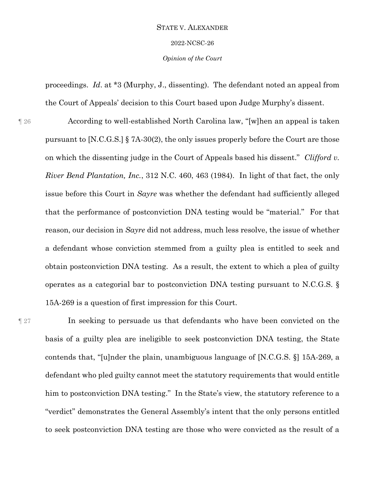#### 2022-NCSC-26

*Opinion of the Court*

proceedings. *Id*. at \*3 (Murphy, J., dissenting). The defendant noted an appeal from the Court of Appeals' decision to this Court based upon Judge Murphy's dissent.

¶ 26 According to well-established North Carolina law, "[w]hen an appeal is taken pursuant to  $[N.C.G.S.]$  § 7A-30(2), the only issues properly before the Court are those on which the dissenting judge in the Court of Appeals based his dissent." *Clifford v. River Bend Plantation, Inc.*, 312 N.C. 460, 463 (1984). In light of that fact, the only issue before this Court in *Sayre* was whether the defendant had sufficiently alleged that the performance of postconviction DNA testing would be "material." For that reason, our decision in *Sayre* did not address, much less resolve, the issue of whether a defendant whose conviction stemmed from a guilty plea is entitled to seek and obtain postconviction DNA testing. As a result, the extent to which a plea of guilty operates as a categorial bar to postconviction DNA testing pursuant to N.C.G.S. § 15A-269 is a question of first impression for this Court.

¶ 27 In seeking to persuade us that defendants who have been convicted on the basis of a guilty plea are ineligible to seek postconviction DNA testing, the State contends that, "[u]nder the plain, unambiguous language of [N.C.G.S. §] 15A-269, a defendant who pled guilty cannot meet the statutory requirements that would entitle him to postconviction DNA testing." In the State's view, the statutory reference to a "verdict" demonstrates the General Assembly's intent that the only persons entitled to seek postconviction DNA testing are those who were convicted as the result of a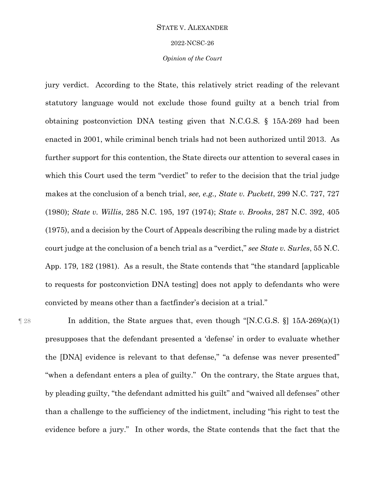#### 2022-NCSC-26

## *Opinion of the Court*

jury verdict. According to the State, this relatively strict reading of the relevant statutory language would not exclude those found guilty at a bench trial from obtaining postconviction DNA testing given that N.C.G.S. § 15A-269 had been enacted in 2001, while criminal bench trials had not been authorized until 2013. As further support for this contention, the State directs our attention to several cases in which this Court used the term "verdict" to refer to the decision that the trial judge makes at the conclusion of a bench trial, *see, e.g., State v. Puckett*, 299 N.C. 727, 727 (1980); *State v. Willis*, 285 N.C. 195, 197 (1974); *State v. Brooks*, 287 N.C. 392, 405 (1975), and a decision by the Court of Appeals describing the ruling made by a district court judge at the conclusion of a bench trial as a "verdict," *see State v. Surles*, 55 N.C. App. 179, 182 (1981). As a result, the State contends that "the standard [applicable to requests for postconviction DNA testing] does not apply to defendants who were convicted by means other than a factfinder's decision at a trial."

¶ 28 In addition, the State argues that, even though "[N.C.G.S. §] 15A-269(a)(1) presupposes that the defendant presented a 'defense' in order to evaluate whether the [DNA] evidence is relevant to that defense," "a defense was never presented" "when a defendant enters a plea of guilty." On the contrary, the State argues that, by pleading guilty, "the defendant admitted his guilt" and "waived all defenses" other than a challenge to the sufficiency of the indictment, including "his right to test the evidence before a jury." In other words, the State contends that the fact that the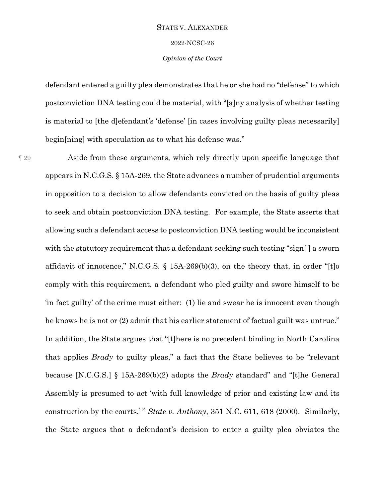2022-NCSC-26

## *Opinion of the Court*

defendant entered a guilty plea demonstrates that he or she had no "defense" to which postconviction DNA testing could be material, with "[a]ny analysis of whether testing is material to [the d]efendant's 'defense' [in cases involving guilty pleas necessarily] begin[ning] with speculation as to what his defense was."

¶ 29 Aside from these arguments, which rely directly upon specific language that appears in N.C.G.S. § 15A-269, the State advances a number of prudential arguments in opposition to a decision to allow defendants convicted on the basis of guilty pleas to seek and obtain postconviction DNA testing. For example, the State asserts that allowing such a defendant access to postconviction DNA testing would be inconsistent with the statutory requirement that a defendant seeking such testing "sign[] a sworn affidavit of innocence," N.C.G.S. § 15A-269(b)(3), on the theory that, in order "[t]o comply with this requirement, a defendant who pled guilty and swore himself to be 'in fact guilty' of the crime must either: (1) lie and swear he is innocent even though he knows he is not or (2) admit that his earlier statement of factual guilt was untrue." In addition, the State argues that "[t]here is no precedent binding in North Carolina that applies *Brady* to guilty pleas," a fact that the State believes to be "relevant because [N.C.G.S.] § 15A-269(b)(2) adopts the *Brady* standard" and "[t]he General Assembly is presumed to act 'with full knowledge of prior and existing law and its construction by the courts,'" *State v. Anthony*, 351 N.C. 611, 618 (2000). Similarly, the State argues that a defendant's decision to enter a guilty plea obviates the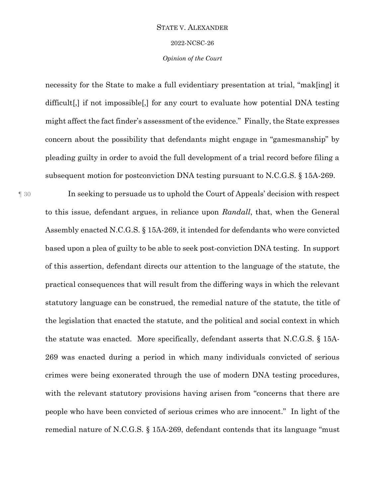#### 2022-NCSC-26

## *Opinion of the Court*

necessity for the State to make a full evidentiary presentation at trial, "mak[ing] it difficult[,] if not impossible[,] for any court to evaluate how potential DNA testing might affect the fact finder's assessment of the evidence." Finally, the State expresses concern about the possibility that defendants might engage in "gamesmanship" by pleading guilty in order to avoid the full development of a trial record before filing a subsequent motion for postconviction DNA testing pursuant to N.C.G.S. § 15A-269.

¶ 30 In seeking to persuade us to uphold the Court of Appeals' decision with respect to this issue, defendant argues, in reliance upon *Randall*, that, when the General Assembly enacted N.C.G.S. § 15A-269, it intended for defendants who were convicted based upon a plea of guilty to be able to seek post-conviction DNA testing. In support of this assertion, defendant directs our attention to the language of the statute, the practical consequences that will result from the differing ways in which the relevant statutory language can be construed, the remedial nature of the statute, the title of the legislation that enacted the statute, and the political and social context in which the statute was enacted. More specifically, defendant asserts that N.C.G.S. § 15A-269 was enacted during a period in which many individuals convicted of serious crimes were being exonerated through the use of modern DNA testing procedures, with the relevant statutory provisions having arisen from "concerns that there are people who have been convicted of serious crimes who are innocent." In light of the remedial nature of N.C.G.S. § 15A-269, defendant contends that its language "must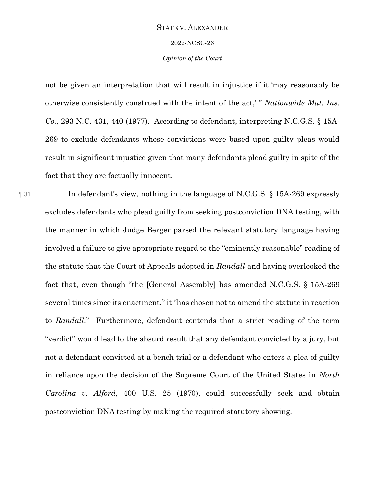2022-NCSC-26

## *Opinion of the Court*

not be given an interpretation that will result in injustice if it 'may reasonably be otherwise consistently construed with the intent of the act,' " *Nationwide Mut. Ins. Co.*, 293 N.C. 431, 440 (1977). According to defendant, interpreting N.C.G.S. § 15A-269 to exclude defendants whose convictions were based upon guilty pleas would result in significant injustice given that many defendants plead guilty in spite of the fact that they are factually innocent.

¶ 31 In defendant's view, nothing in the language of N.C.G.S. § 15A-269 expressly excludes defendants who plead guilty from seeking postconviction DNA testing, with the manner in which Judge Berger parsed the relevant statutory language having involved a failure to give appropriate regard to the "eminently reasonable" reading of the statute that the Court of Appeals adopted in *Randall* and having overlooked the fact that, even though "the [General Assembly] has amended N.C.G.S. § 15A-269 several times since its enactment," it "has chosen not to amend the statute in reaction to *Randall*." Furthermore, defendant contends that a strict reading of the term "verdict" would lead to the absurd result that any defendant convicted by a jury, but not a defendant convicted at a bench trial or a defendant who enters a plea of guilty in reliance upon the decision of the Supreme Court of the United States in *North Carolina v. Alford*, 400 U.S. 25 (1970), could successfully seek and obtain postconviction DNA testing by making the required statutory showing.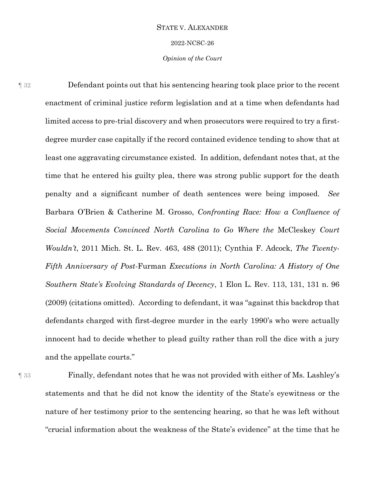2022-NCSC-26

*Opinion of the Court*

¶ 32 Defendant points out that his sentencing hearing took place prior to the recent enactment of criminal justice reform legislation and at a time when defendants had limited access to pre-trial discovery and when prosecutors were required to try a firstdegree murder case capitally if the record contained evidence tending to show that at least one aggravating circumstance existed. In addition, defendant notes that, at the time that he entered his guilty plea, there was strong public support for the death penalty and a significant number of death sentences were being imposed. *See*  Barbara O'Brien & Catherine M. Grosso, *Confronting Race: How a Confluence of Social Movements Convinced North Carolina to Go Where the* McCleskey *Court Wouldn't*, 2011 Mich. St. L. Rev. 463, 488 (2011); Cynthia F. Adcock, *The Twenty-Fifth Anniversary of Post-*Furman *Executions in North Carolina: A History of One Southern State's Evolving Standards of Decency*, 1 Elon L. Rev. 113, 131, 131 n. 96 (2009) (citations omitted). According to defendant, it was "against this backdrop that defendants charged with first-degree murder in the early 1990's who were actually innocent had to decide whether to plead guilty rather than roll the dice with a jury and the appellate courts."

¶ 33 Finally, defendant notes that he was not provided with either of Ms. Lashley's statements and that he did not know the identity of the State's eyewitness or the nature of her testimony prior to the sentencing hearing, so that he was left without "crucial information about the weakness of the State's evidence" at the time that he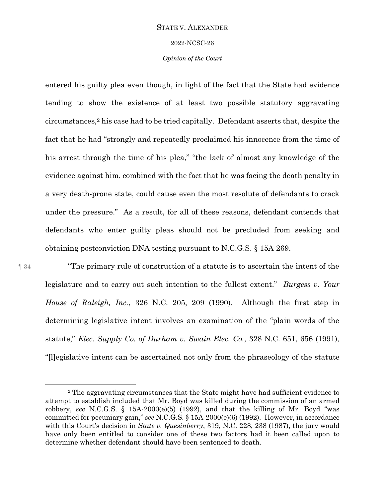#### 2022-NCSC-26

## *Opinion of the Court*

entered his guilty plea even though, in light of the fact that the State had evidence tending to show the existence of at least two possible statutory aggravating circumstances, <sup>2</sup> his case had to be tried capitally. Defendant asserts that, despite the fact that he had "strongly and repeatedly proclaimed his innocence from the time of his arrest through the time of his plea," "the lack of almost any knowledge of the evidence against him, combined with the fact that he was facing the death penalty in a very death-prone state, could cause even the most resolute of defendants to crack under the pressure." As a result, for all of these reasons, defendant contends that defendants who enter guilty pleas should not be precluded from seeking and obtaining postconviction DNA testing pursuant to N.C.G.S. § 15A-269.

 $\overline{a}$ 

¶ 34 "The primary rule of construction of a statute is to ascertain the intent of the legislature and to carry out such intention to the fullest extent." *Burgess v. Your House of Raleigh, Inc.*, 326 N.C. 205, 209 (1990). Although the first step in determining legislative intent involves an examination of the "plain words of the statute," *Elec. Supply Co. of Durham v. Swain Elec. Co.*, 328 N.C. 651, 656 (1991), "[l]egislative intent can be ascertained not only from the phraseology of the statute

<sup>2</sup> The aggravating circumstances that the State might have had sufficient evidence to attempt to establish included that Mr. Boyd was killed during the commission of an armed robbery, *see* N.C.G.S. § 15A-2000(e)(5) (1992), and that the killing of Mr. Boyd "was committed for pecuniary gain," *see* N.C.G.S. § 15A-2000(e)(6) (1992). However, in accordance with this Court's decision in *State v. Quesinberry*, 319, N.C. 228, 238 (1987), the jury would have only been entitled to consider one of these two factors had it been called upon to determine whether defendant should have been sentenced to death.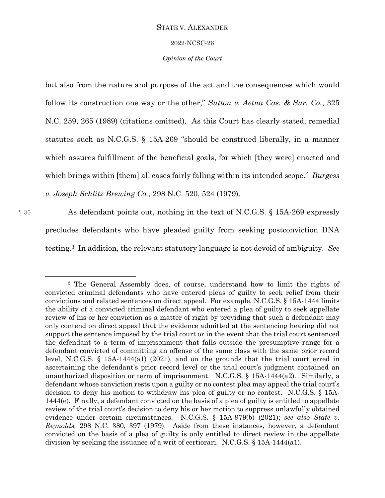#### 2022-NCSC-26

## *Opinion of the Court*

but also from the nature and purpose of the act and the consequences which would follow its construction one way or the other," *Sutton v. Aetna Cas. & Sur. Co.*, 325 N.C. 259, 265 (1989) (citations omitted). As this Court has clearly stated, remedial statutes such as N.C.G.S. § 15A-269 "should be construed liberally, in a manner which assures fulfillment of the beneficial goals, for which [they were] enacted and which brings within [them] all cases fairly falling within its intended scope." *Burgess v. Joseph Schlitz Brewing Co.*, 298 N.C. 520, 524 (1979).

 $\overline{a}$ 

¶ 35 As defendant points out, nothing in the text of N.C.G.S. § 15A-269 expressly precludes defendants who have pleaded guilty from seeking postconviction DNA testing. <sup>3</sup> In addition, the relevant statutory language is not devoid of ambiguity. *See* 

<sup>3</sup> The General Assembly does, of course, understand how to limit the rights of convicted criminal defendants who have entered pleas of guilty to seek relief from their convictions and related sentences on direct appeal. For example, N.C.G.S. § 15A-1444 limits the ability of a convicted criminal defendant who entered a plea of guilty to seek appellate review of his or her conviction as a matter of right by providing that such a defendant may only contend on direct appeal that the evidence admitted at the sentencing hearing did not support the sentence imposed by the trial court or in the event that the trial court sentenced the defendant to a term of imprisonment that falls outside the presumptive range for a defendant convicted of committing an offense of the same class with the same prior record level, N.C.G.S. § 15A-1444(a1) (2021), and on the grounds that the trial court erred in ascertaining the defendant's prior record level or the trial court's judgment contained an unauthorized disposition or term of imprisonment. N.C.G.S. § 15A-1444(a2). Similarly, a defendant whose conviction rests upon a guilty or no contest plea may appeal the trial court's decision to deny his motion to withdraw his plea of guilty or no contest. N.C.G.S. § 15A-1444(e). Finally, a defendant convicted on the basis of a plea of guilty is entitled to appellate review of the trial court's decision to deny his or her motion to suppress unlawfully obtained evidence under certain circumstances. N.C.G.S. § 15A-979(b) (2021); *see also State v. Reynolds,* 298 N.C. 380, 397 (1979). Aside from these instances, however, a defendant convicted on the basis of a plea of guilty is only entitled to direct review in the appellate division by seeking the issuance of a writ of certiorari. N.C.G.S. § 15A-1444(a1).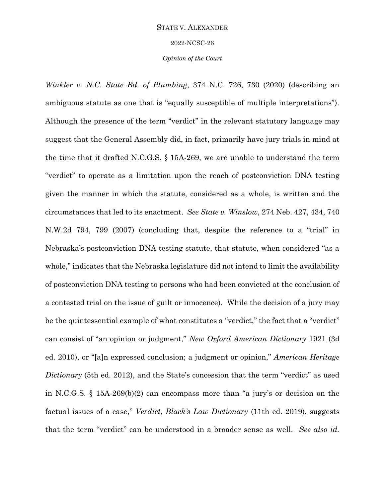2022-NCSC-26

*Opinion of the Court*

*Winkler v. N.C. State Bd. of Plumbing*, 374 N.C. 726, 730 (2020) (describing an ambiguous statute as one that is "equally susceptible of multiple interpretations"). Although the presence of the term "verdict" in the relevant statutory language may suggest that the General Assembly did, in fact, primarily have jury trials in mind at the time that it drafted N.C.G.S. § 15A-269, we are unable to understand the term "verdict" to operate as a limitation upon the reach of postconviction DNA testing given the manner in which the statute, considered as a whole, is written and the circumstances that led to its enactment. *See State v. Winslow*, 274 Neb. 427, 434, 740 N.W.2d 794, 799 (2007) (concluding that, despite the reference to a "trial" in Nebraska's postconviction DNA testing statute, that statute, when considered "as a whole," indicates that the Nebraska legislature did not intend to limit the availability of postconviction DNA testing to persons who had been convicted at the conclusion of a contested trial on the issue of guilt or innocence). While the decision of a jury may be the quintessential example of what constitutes a "verdict," the fact that a "verdict" can consist of "an opinion or judgment," *New Oxford American Dictionary* 1921 (3d ed. 2010), or "[a]n expressed conclusion; a judgment or opinion," *American Heritage Dictionary* (5th ed. 2012), and the State's concession that the term "verdict" as used in N.C.G.S. § 15A-269(b)(2) can encompass more than "a jury's or decision on the factual issues of a case," *Verdict*, *Black's Law Dictionary* (11th ed. 2019), suggests that the term "verdict" can be understood in a broader sense as well. *See also id.*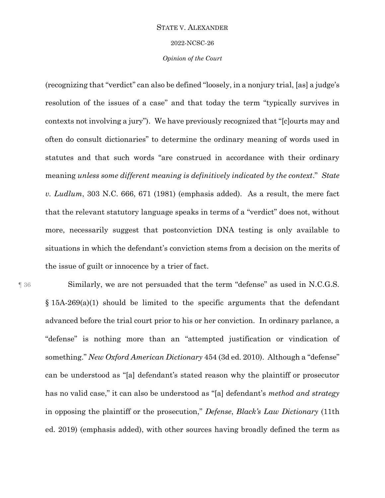#### 2022-NCSC-26

## *Opinion of the Court*

(recognizing that "verdict" can also be defined "loosely, in a nonjury trial, [as] a judge's resolution of the issues of a case" and that today the term "typically survives in contexts not involving a jury"). We have previously recognized that "[c]ourts may and often do consult dictionaries" to determine the ordinary meaning of words used in statutes and that such words "are construed in accordance with their ordinary meaning *unless some different meaning is definitively indicated by the context*." *State v. Ludlum*, 303 N.C. 666, 671 (1981) (emphasis added). As a result, the mere fact that the relevant statutory language speaks in terms of a "verdict" does not, without more, necessarily suggest that postconviction DNA testing is only available to situations in which the defendant's conviction stems from a decision on the merits of the issue of guilt or innocence by a trier of fact.

¶ 36 Similarly, we are not persuaded that the term "defense" as used in N.C.G.S. § 15A-269(a)(1) should be limited to the specific arguments that the defendant advanced before the trial court prior to his or her conviction. In ordinary parlance, a "defense" is nothing more than an "attempted justification or vindication of something." *New Oxford American Dictionary* 454 (3d ed. 2010). Although a "defense" can be understood as "[a] defendant's stated reason why the plaintiff or prosecutor has no valid case," it can also be understood as "[a] defendant's *method and strategy* in opposing the plaintiff or the prosecution," *Defense*, *Black's Law Dictionary* (11th ed. 2019) (emphasis added), with other sources having broadly defined the term as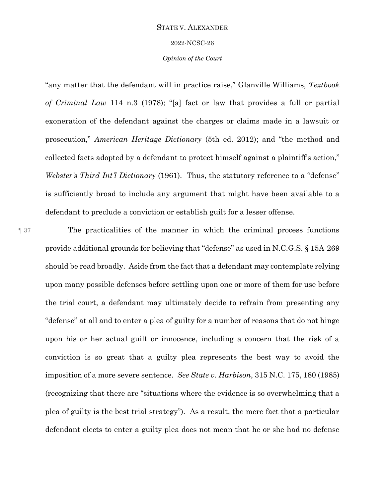#### 2022-NCSC-26

## *Opinion of the Court*

"any matter that the defendant will in practice raise," Glanville Williams, *Textbook of Criminal Law* 114 n.3 (1978); "[a] fact or law that provides a full or partial exoneration of the defendant against the charges or claims made in a lawsuit or prosecution," *American Heritage Dictionary* (5th ed. 2012); and "the method and collected facts adopted by a defendant to protect himself against a plaintiff's action," *Webster's Third Int'l Dictionary* (1961). Thus, the statutory reference to a "defense" is sufficiently broad to include any argument that might have been available to a defendant to preclude a conviction or establish guilt for a lesser offense.

¶ 37 The practicalities of the manner in which the criminal process functions provide additional grounds for believing that "defense" as used in N.C.G.S. § 15A-269 should be read broadly. Aside from the fact that a defendant may contemplate relying upon many possible defenses before settling upon one or more of them for use before the trial court, a defendant may ultimately decide to refrain from presenting any "defense" at all and to enter a plea of guilty for a number of reasons that do not hinge upon his or her actual guilt or innocence, including a concern that the risk of a conviction is so great that a guilty plea represents the best way to avoid the imposition of a more severe sentence. *See State v. Harbison*, 315 N.C. 175, 180 (1985) (recognizing that there are "situations where the evidence is so overwhelming that a plea of guilty is the best trial strategy"). As a result, the mere fact that a particular defendant elects to enter a guilty plea does not mean that he or she had no defense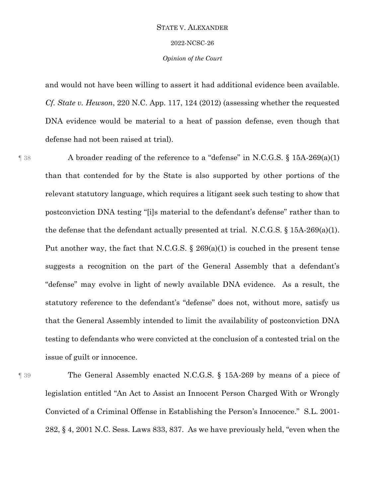#### 2022-NCSC-26

## *Opinion of the Court*

and would not have been willing to assert it had additional evidence been available. *Cf. State v. Hewson*, 220 N.C. App. 117, 124 (2012) (assessing whether the requested DNA evidence would be material to a heat of passion defense, even though that defense had not been raised at trial).

¶ 38 A broader reading of the reference to a "defense" in N.C.G.S. § 15A-269(a)(1) than that contended for by the State is also supported by other portions of the relevant statutory language, which requires a litigant seek such testing to show that postconviction DNA testing "[i]s material to the defendant's defense" rather than to the defense that the defendant actually presented at trial. N.C.G.S.  $\S$  15A-269(a)(1). Put another way, the fact that N.C.G.S. § 269(a)(1) is couched in the present tense suggests a recognition on the part of the General Assembly that a defendant's "defense" may evolve in light of newly available DNA evidence. As a result, the statutory reference to the defendant's "defense" does not, without more, satisfy us that the General Assembly intended to limit the availability of postconviction DNA testing to defendants who were convicted at the conclusion of a contested trial on the issue of guilt or innocence.

¶ 39 The General Assembly enacted N.C.G.S. § 15A-269 by means of a piece of legislation entitled "An Act to Assist an Innocent Person Charged With or Wrongly Convicted of a Criminal Offense in Establishing the Person's Innocence." S.L. 2001- 282, § 4, 2001 N.C. Sess. Laws 833, 837. As we have previously held, "even when the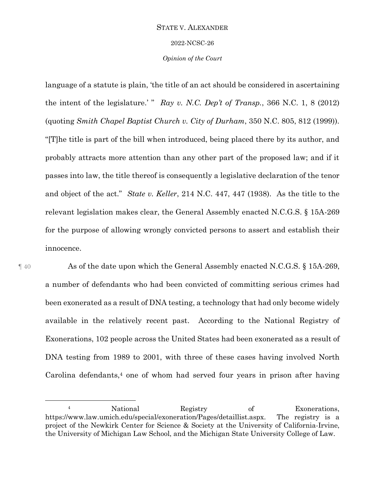#### 2022-NCSC-26

## *Opinion of the Court*

language of a statute is plain, 'the title of an act should be considered in ascertaining the intent of the legislature.' " *Ray v. N.C. Dep't of Transp.*, 366 N.C. 1, 8 (2012) (quoting *Smith Chapel Baptist Church v. City of Durham*, 350 N.C. 805, 812 (1999)). "[T]he title is part of the bill when introduced, being placed there by its author, and probably attracts more attention than any other part of the proposed law; and if it passes into law, the title thereof is consequently a legislative declaration of the tenor and object of the act." *State v. Keller*, 214 N.C. 447, 447 (1938). As the title to the relevant legislation makes clear, the General Assembly enacted N.C.G.S. § 15A-269 for the purpose of allowing wrongly convicted persons to assert and establish their innocence.

 $\overline{a}$ 

¶ 40 As of the date upon which the General Assembly enacted N.C.G.S. § 15A-269, a number of defendants who had been convicted of committing serious crimes had been exonerated as a result of DNA testing, a technology that had only become widely available in the relatively recent past. According to the National Registry of Exonerations, 102 people across the United States had been exonerated as a result of DNA testing from 1989 to 2001, with three of these cases having involved North Carolina defendants, <sup>4</sup> one of whom had served four years in prison after having

<sup>4</sup> National Registry of Exonerations, https://www.law.umich.edu/special/exoneration/Pages/detaillist.aspx. The registry is a project of the Newkirk Center for Science & Society at the University of California-Irvine, the University of Michigan Law School, and the Michigan State University College of Law.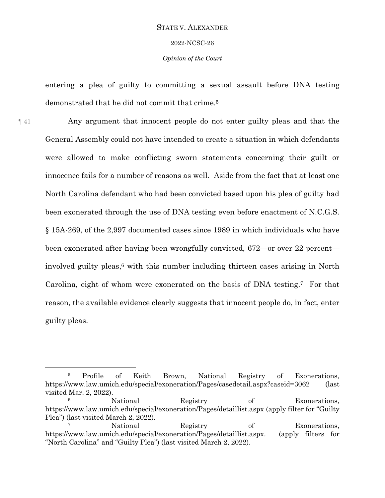## 2022-NCSC-26

## *Opinion of the Court*

entering a plea of guilty to committing a sexual assault before DNA testing demonstrated that he did not commit that crime. 5

¶ 41 Any argument that innocent people do not enter guilty pleas and that the General Assembly could not have intended to create a situation in which defendants were allowed to make conflicting sworn statements concerning their guilt or innocence fails for a number of reasons as well. Aside from the fact that at least one North Carolina defendant who had been convicted based upon his plea of guilty had been exonerated through the use of DNA testing even before enactment of N.C.G.S. § 15A-269, of the 2,997 documented cases since 1989 in which individuals who have been exonerated after having been wrongfully convicted, 672—or over 22 percent involved guilty pleas, <sup>6</sup> with this number including thirteen cases arising in North Carolina, eight of whom were exonerated on the basis of DNA testing.7 For that reason, the available evidence clearly suggests that innocent people do, in fact, enter guilty pleas.

 $\overline{a}$ 

<sup>5</sup> Profile of Keith Brown, National Registry of Exonerations, https://www.law.umich.edu/special/exoneration/Pages/casedetail.aspx?caseid=3062 (last visited Mar. 2, 2022).

<sup>6</sup> National Registry of Exonerations, https://www.law.umich.edu/special/exoneration/Pages/detaillist.aspx (apply filter for "Guilty Plea") (last visited March 2, 2022).

<sup>7</sup> National Registry of Exonerations, https://www.law.umich.edu/special/exoneration/Pages/detaillist.aspx. (apply filters for "North Carolina" and "Guilty Plea") (last visited March 2, 2022).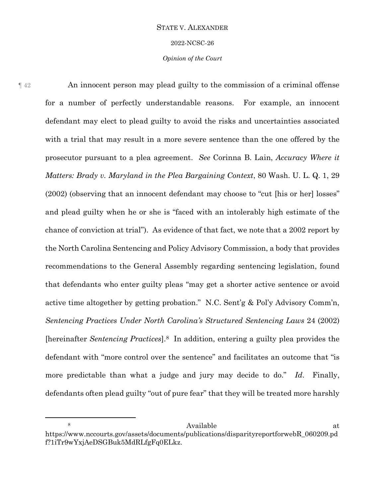2022-NCSC-26

## *Opinion of the Court*

¶ 42 An innocent person may plead guilty to the commission of a criminal offense for a number of perfectly understandable reasons. For example, an innocent defendant may elect to plead guilty to avoid the risks and uncertainties associated with a trial that may result in a more severe sentence than the one offered by the prosecutor pursuant to a plea agreement. *See* Corinna B. Lain, *Accuracy Where it Matters: Brady v. Maryland in the Plea Bargaining Context*, 80 Wash. U. L. Q. 1, 29 (2002) (observing that an innocent defendant may choose to "cut [his or her] losses" and plead guilty when he or she is "faced with an intolerably high estimate of the chance of conviction at trial"). As evidence of that fact, we note that a 2002 report by the North Carolina Sentencing and Policy Advisory Commission, a body that provides recommendations to the General Assembly regarding sentencing legislation, found that defendants who enter guilty pleas "may get a shorter active sentence or avoid active time altogether by getting probation." N.C. Sent'g & Pol'y Advisory Comm'n, *Sentencing Practices Under North Carolina's Structured Sentencing Laws* 24 (2002) [hereinafter *Sentencing Practices*].8 In addition, entering a guilty plea provides the defendant with "more control over the sentence" and facilitates an outcome that "is more predictable than what a judge and jury may decide to do." *Id*. Finally, defendants often plead guilty "out of pure fear" that they will be treated more harshly

 $\overline{a}$ 

<sup>8</sup> Available at https://www.nccourts.gov/assets/documents/publications/disparityreportforwebR\_060209.pd f?1iTr9wYxjAeDSGBuk5MdRLfgFq0ELkz.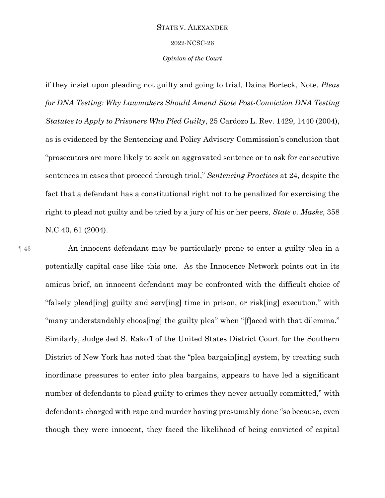2022-NCSC-26

*Opinion of the Court*

if they insist upon pleading not guilty and going to trial, Daina Borteck, Note, *Pleas for DNA Testing: Why Lawmakers Should Amend State Post-Conviction DNA Testing Statutes to Apply to Prisoners Who Pled Guilty*, 25 Cardozo L. Rev. 1429, 1440 (2004), as is evidenced by the Sentencing and Policy Advisory Commission's conclusion that "prosecutors are more likely to seek an aggravated sentence or to ask for consecutive sentences in cases that proceed through trial," *Sentencing Practices* at 24, despite the fact that a defendant has a constitutional right not to be penalized for exercising the right to plead not guilty and be tried by a jury of his or her peers, *State v. Maske*, 358 N.C 40, 61 (2004).

¶ 43 An innocent defendant may be particularly prone to enter a guilty plea in a potentially capital case like this one. As the Innocence Network points out in its amicus brief, an innocent defendant may be confronted with the difficult choice of "falsely plead[ing] guilty and serv[ing] time in prison, or risk[ing] execution," with "many understandably choos[ing] the guilty plea" when "[f]aced with that dilemma." Similarly, Judge Jed S. Rakoff of the United States District Court for the Southern District of New York has noted that the "plea bargain[ing] system, by creating such inordinate pressures to enter into plea bargains, appears to have led a significant number of defendants to plead guilty to crimes they never actually committed," with defendants charged with rape and murder having presumably done "so because, even though they were innocent, they faced the likelihood of being convicted of capital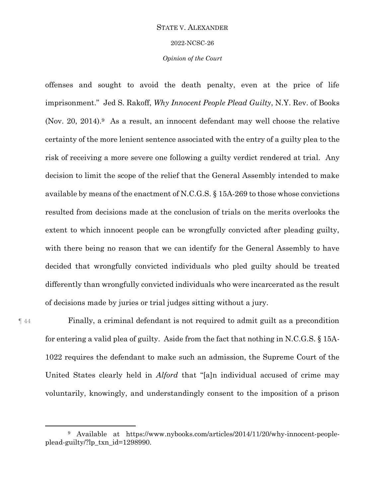2022-NCSC-26

## *Opinion of the Court*

offenses and sought to avoid the death penalty, even at the price of life imprisonment." Jed S. Rakoff, *Why Innocent People Plead Guilty*, N.Y. Rev. of Books (Nov. 20, 2014).9 As a result, an innocent defendant may well choose the relative certainty of the more lenient sentence associated with the entry of a guilty plea to the risk of receiving a more severe one following a guilty verdict rendered at trial. Any decision to limit the scope of the relief that the General Assembly intended to make available by means of the enactment of N.C.G.S. § 15A-269 to those whose convictions resulted from decisions made at the conclusion of trials on the merits overlooks the extent to which innocent people can be wrongfully convicted after pleading guilty, with there being no reason that we can identify for the General Assembly to have decided that wrongfully convicted individuals who pled guilty should be treated differently than wrongfully convicted individuals who were incarcerated as the result of decisions made by juries or trial judges sitting without a jury.

 $\overline{a}$ 

¶ 44 Finally, a criminal defendant is not required to admit guilt as a precondition for entering a valid plea of guilty. Aside from the fact that nothing in N.C.G.S. § 15A-1022 requires the defendant to make such an admission, the Supreme Court of the United States clearly held in *Alford* that "[a]n individual accused of crime may voluntarily, knowingly, and understandingly consent to the imposition of a prison

<sup>9</sup> Available at https://www.nybooks.com/articles/2014/11/20/why-innocent-peopleplead-guilty/?lp\_txn\_id=1298990.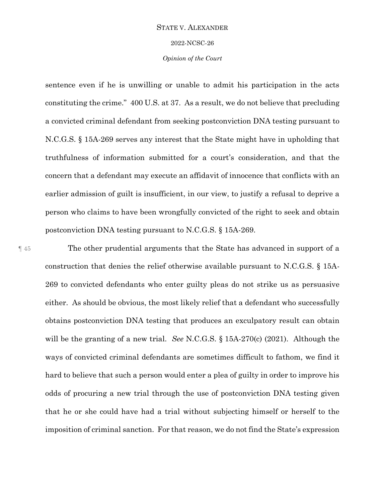#### 2022-NCSC-26

## *Opinion of the Court*

sentence even if he is unwilling or unable to admit his participation in the acts constituting the crime." 400 U.S. at 37. As a result, we do not believe that precluding a convicted criminal defendant from seeking postconviction DNA testing pursuant to N.C.G.S. § 15A-269 serves any interest that the State might have in upholding that truthfulness of information submitted for a court's consideration, and that the concern that a defendant may execute an affidavit of innocence that conflicts with an earlier admission of guilt is insufficient, in our view, to justify a refusal to deprive a person who claims to have been wrongfully convicted of the right to seek and obtain postconviction DNA testing pursuant to N.C.G.S. § 15A-269.

¶ 45 The other prudential arguments that the State has advanced in support of a construction that denies the relief otherwise available pursuant to N.C.G.S. § 15A-269 to convicted defendants who enter guilty pleas do not strike us as persuasive either. As should be obvious, the most likely relief that a defendant who successfully obtains postconviction DNA testing that produces an exculpatory result can obtain will be the granting of a new trial. *See* N.C.G.S. § 15A-270(c) (2021). Although the ways of convicted criminal defendants are sometimes difficult to fathom, we find it hard to believe that such a person would enter a plea of guilty in order to improve his odds of procuring a new trial through the use of postconviction DNA testing given that he or she could have had a trial without subjecting himself or herself to the imposition of criminal sanction. For that reason, we do not find the State's expression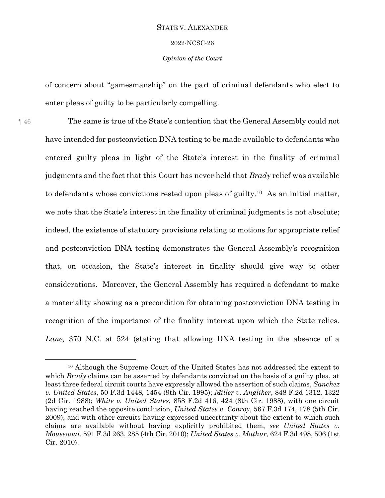# STATE V. ALEXANDER 2022-NCSC-26

*Opinion of the Court*

of concern about "gamesmanship" on the part of criminal defendants who elect to enter pleas of guilty to be particularly compelling.

¶ 46 The same is true of the State's contention that the General Assembly could not have intended for postconviction DNA testing to be made available to defendants who entered guilty pleas in light of the State's interest in the finality of criminal judgments and the fact that this Court has never held that *Brady* relief was available to defendants whose convictions rested upon pleas of guilty. <sup>10</sup> As an initial matter, we note that the State's interest in the finality of criminal judgments is not absolute; indeed, the existence of statutory provisions relating to motions for appropriate relief and postconviction DNA testing demonstrates the General Assembly's recognition that, on occasion, the State's interest in finality should give way to other considerations. Moreover, the General Assembly has required a defendant to make a materiality showing as a precondition for obtaining postconviction DNA testing in recognition of the importance of the finality interest upon which the State relies. *Lane,* 370 N.C. at 524 (stating that allowing DNA testing in the absence of a

 $\overline{a}$ 

<sup>10</sup> Although the Supreme Court of the United States has not addressed the extent to which *Brady* claims can be asserted by defendants convicted on the basis of a guilty plea, at least three federal circuit courts have expressly allowed the assertion of such claims, *Sanchez v. United States*, 50 F.3d 1448, 1454 (9th Cir. 1995); *Miller v. Angliker*, 848 F.2d 1312, 1322 (2d Cir. 1988); *White v. United States*, 858 F.2d 416, 424 (8th Cir. 1988), with one circuit having reached the opposite conclusion, *United States v. Conroy*, 567 F.3d 174, 178 (5th Cir. 2009), and with other circuits having expressed uncertainty about the extent to which such claims are available without having explicitly prohibited them, *see United States v. Moussaoui*, 591 F.3d 263, 285 (4th Cir. 2010); *United States v. Mathur*, 624 F.3d 498, 506 (1st Cir. 2010).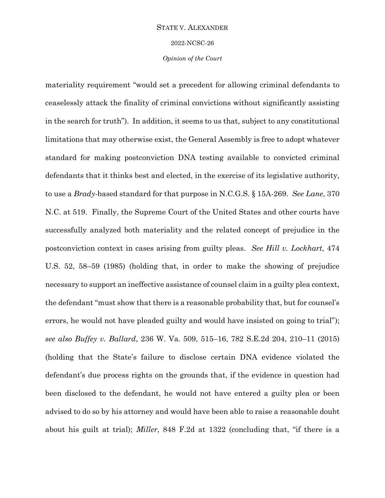2022-NCSC-26

## *Opinion of the Court*

materiality requirement "would set a precedent for allowing criminal defendants to ceaselessly attack the finality of criminal convictions without significantly assisting in the search for truth"). In addition, it seems to us that, subject to any constitutional limitations that may otherwise exist, the General Assembly is free to adopt whatever standard for making postconviction DNA testing available to convicted criminal defendants that it thinks best and elected, in the exercise of its legislative authority, to use a *Brady*-based standard for that purpose in N.C.G.S. § 15A-269. *See Lane*, 370 N.C. at 519. Finally, the Supreme Court of the United States and other courts have successfully analyzed both materiality and the related concept of prejudice in the postconviction context in cases arising from guilty pleas. *See Hill v. Lockhart*, 474 U.S. 52, 58–59 (1985) (holding that, in order to make the showing of prejudice necessary to support an ineffective assistance of counsel claim in a guilty plea context, the defendant "must show that there is a reasonable probability that, but for counsel's errors, he would not have pleaded guilty and would have insisted on going to trial"); *see also Buffey v. Ballard*, 236 W. Va. 509, 515–16, 782 S.E.2d 204, 210–11 (2015) (holding that the State's failure to disclose certain DNA evidence violated the defendant's due process rights on the grounds that, if the evidence in question had been disclosed to the defendant, he would not have entered a guilty plea or been advised to do so by his attorney and would have been able to raise a reasonable doubt about his guilt at trial); *Miller*, 848 F.2d at 1322 (concluding that, "if there is a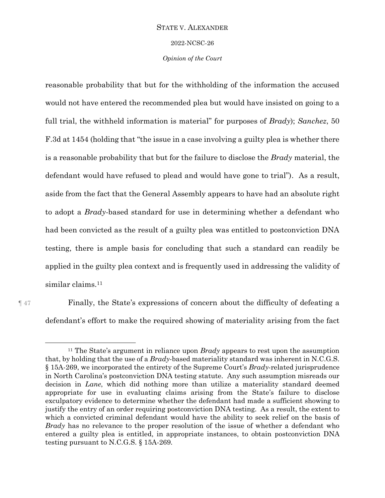2022-NCSC-26

## *Opinion of the Court*

reasonable probability that but for the withholding of the information the accused would not have entered the recommended plea but would have insisted on going to a full trial, the withheld information is material" for purposes of *Brady*); *Sanchez*, 50 F.3d at 1454 (holding that "the issue in a case involving a guilty plea is whether there is a reasonable probability that but for the failure to disclose the *Brady* material, the defendant would have refused to plead and would have gone to trial"). As a result, aside from the fact that the General Assembly appears to have had an absolute right to adopt a *Brady*-based standard for use in determining whether a defendant who had been convicted as the result of a guilty plea was entitled to postconviction DNA testing, there is ample basis for concluding that such a standard can readily be applied in the guilty plea context and is frequently used in addressing the validity of similar claims. 11

 $\overline{a}$ 

¶ 47 Finally, the State's expressions of concern about the difficulty of defeating a defendant's effort to make the required showing of materiality arising from the fact

<sup>11</sup> The State's argument in reliance upon *Brady* appears to rest upon the assumption that, by holding that the use of a *Brady*-based materiality standard was inherent in N.C.G.S. § 15A-269, we incorporated the entirety of the Supreme Court's *Brady*-related jurisprudence in North Carolina's postconviction DNA testing statute. Any such assumption misreads our decision in *Lane*, which did nothing more than utilize a materiality standard deemed appropriate for use in evaluating claims arising from the State's failure to disclose exculpatory evidence to determine whether the defendant had made a sufficient showing to justify the entry of an order requiring postconviction DNA testing. As a result, the extent to which a convicted criminal defendant would have the ability to seek relief on the basis of *Brady* has no relevance to the proper resolution of the issue of whether a defendant who entered a guilty plea is entitled, in appropriate instances, to obtain postconviction DNA testing pursuant to N.C.G.S. § 15A-269.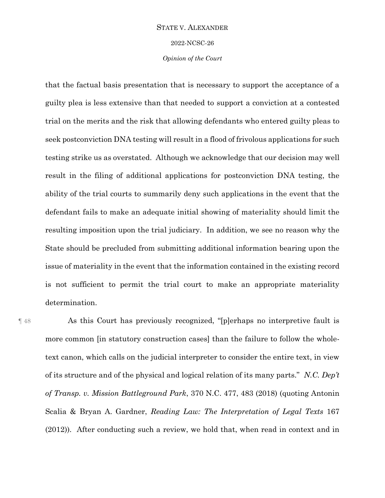2022-NCSC-26

## *Opinion of the Court*

that the factual basis presentation that is necessary to support the acceptance of a guilty plea is less extensive than that needed to support a conviction at a contested trial on the merits and the risk that allowing defendants who entered guilty pleas to seek postconviction DNA testing will result in a flood of frivolous applications for such testing strike us as overstated. Although we acknowledge that our decision may well result in the filing of additional applications for postconviction DNA testing, the ability of the trial courts to summarily deny such applications in the event that the defendant fails to make an adequate initial showing of materiality should limit the resulting imposition upon the trial judiciary. In addition, we see no reason why the State should be precluded from submitting additional information bearing upon the issue of materiality in the event that the information contained in the existing record is not sufficient to permit the trial court to make an appropriate materiality determination.

¶ 48 As this Court has previously recognized, "[p]erhaps no interpretive fault is more common [in statutory construction cases] than the failure to follow the wholetext canon, which calls on the judicial interpreter to consider the entire text, in view of its structure and of the physical and logical relation of its many parts." *N.C. Dep't of Transp. v. Mission Battleground Park*, 370 N.C. 477, 483 (2018) (quoting Antonin Scalia & Bryan A. Gardner, *Reading Law: The Interpretation of Legal Texts* 167 (2012)). After conducting such a review, we hold that, when read in context and in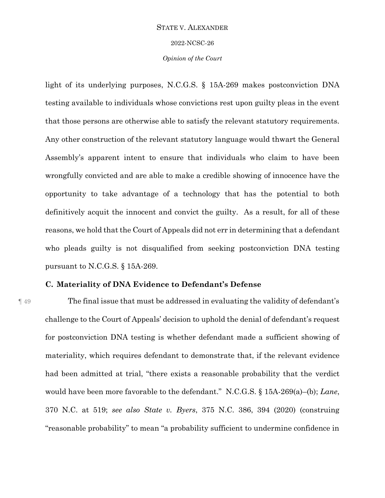2022-NCSC-26

*Opinion of the Court*

light of its underlying purposes, N.C.G.S. § 15A-269 makes postconviction DNA testing available to individuals whose convictions rest upon guilty pleas in the event that those persons are otherwise able to satisfy the relevant statutory requirements. Any other construction of the relevant statutory language would thwart the General Assembly's apparent intent to ensure that individuals who claim to have been wrongfully convicted and are able to make a credible showing of innocence have the opportunity to take advantage of a technology that has the potential to both definitively acquit the innocent and convict the guilty. As a result, for all of these reasons, we hold that the Court of Appeals did not err in determining that a defendant who pleads guilty is not disqualified from seeking postconviction DNA testing pursuant to N.C.G.S. § 15A-269.

# **C. Materiality of DNA Evidence to Defendant's Defense**

¶ 49 The final issue that must be addressed in evaluating the validity of defendant's challenge to the Court of Appeals' decision to uphold the denial of defendant's request for postconviction DNA testing is whether defendant made a sufficient showing of materiality, which requires defendant to demonstrate that, if the relevant evidence had been admitted at trial, "there exists a reasonable probability that the verdict would have been more favorable to the defendant." N.C.G.S. § 15A-269(a)–(b); *Lane*, 370 N.C. at 519; *see also State v. Byers*, 375 N.C. 386, 394 (2020) (construing "reasonable probability" to mean "a probability sufficient to undermine confidence in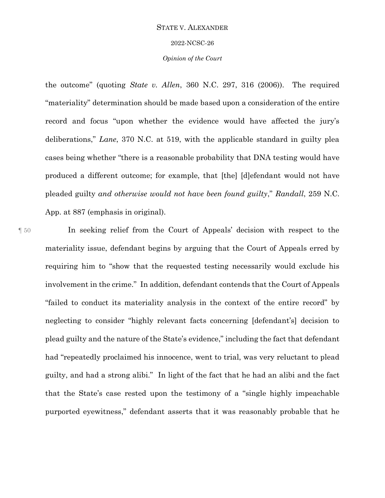#### 2022-NCSC-26

## *Opinion of the Court*

the outcome" (quoting *State v. Allen*, 360 N.C. 297, 316 (2006)). The required "materiality" determination should be made based upon a consideration of the entire record and focus "upon whether the evidence would have affected the jury's deliberations," *Lane*, 370 N.C. at 519, with the applicable standard in guilty plea cases being whether "there is a reasonable probability that DNA testing would have produced a different outcome; for example, that [the] [d]efendant would not have pleaded guilty *and otherwise would not have been found guilty*," *Randall*, 259 N.C. App. at 887 (emphasis in original).

¶ 50 In seeking relief from the Court of Appeals' decision with respect to the materiality issue, defendant begins by arguing that the Court of Appeals erred by requiring him to "show that the requested testing necessarily would exclude his involvement in the crime." In addition, defendant contends that the Court of Appeals "failed to conduct its materiality analysis in the context of the entire record" by neglecting to consider "highly relevant facts concerning [defendant's] decision to plead guilty and the nature of the State's evidence," including the fact that defendant had "repeatedly proclaimed his innocence, went to trial, was very reluctant to plead guilty, and had a strong alibi." In light of the fact that he had an alibi and the fact that the State's case rested upon the testimony of a "single highly impeachable purported eyewitness," defendant asserts that it was reasonably probable that he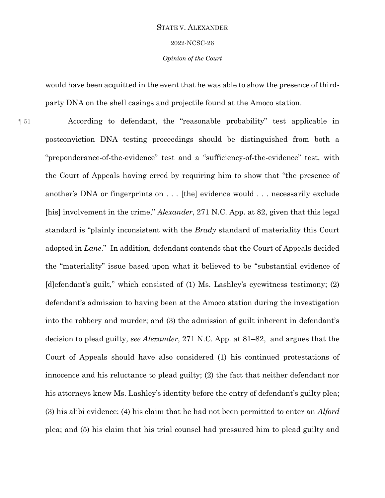2022-NCSC-26

*Opinion of the Court*

would have been acquitted in the event that he was able to show the presence of thirdparty DNA on the shell casings and projectile found at the Amoco station.

¶ 51 According to defendant, the "reasonable probability" test applicable in postconviction DNA testing proceedings should be distinguished from both a "preponderance-of-the-evidence" test and a "sufficiency-of-the-evidence" test, with the Court of Appeals having erred by requiring him to show that "the presence of another's DNA or fingerprints on . . . [the] evidence would . . . necessarily exclude [his] involvement in the crime," *Alexander*, 271 N.C. App. at 82, given that this legal standard is "plainly inconsistent with the *Brady* standard of materiality this Court adopted in *Lane*." In addition, defendant contends that the Court of Appeals decided the "materiality" issue based upon what it believed to be "substantial evidence of [d]efendant's guilt," which consisted of (1) Ms. Lashley's eyewitness testimony; (2) defendant's admission to having been at the Amoco station during the investigation into the robbery and murder; and (3) the admission of guilt inherent in defendant's decision to plead guilty, *see Alexander*, 271 N.C. App. at 81–82, and argues that the Court of Appeals should have also considered (1) his continued protestations of innocence and his reluctance to plead guilty; (2) the fact that neither defendant nor his attorneys knew Ms. Lashley's identity before the entry of defendant's guilty plea; (3) his alibi evidence; (4) his claim that he had not been permitted to enter an *Alford* plea; and (5) his claim that his trial counsel had pressured him to plead guilty and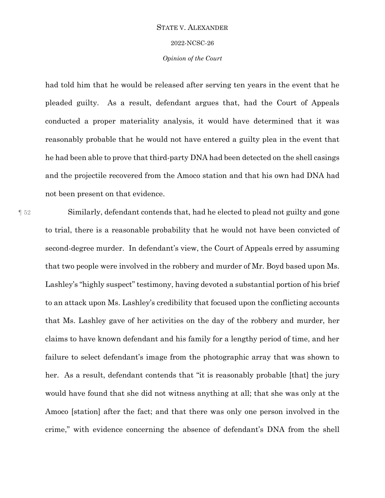#### 2022-NCSC-26

## *Opinion of the Court*

had told him that he would be released after serving ten years in the event that he pleaded guilty. As a result, defendant argues that, had the Court of Appeals conducted a proper materiality analysis, it would have determined that it was reasonably probable that he would not have entered a guilty plea in the event that he had been able to prove that third-party DNA had been detected on the shell casings and the projectile recovered from the Amoco station and that his own had DNA had not been present on that evidence.

¶ 52 Similarly, defendant contends that, had he elected to plead not guilty and gone to trial, there is a reasonable probability that he would not have been convicted of second-degree murder. In defendant's view, the Court of Appeals erred by assuming that two people were involved in the robbery and murder of Mr. Boyd based upon Ms. Lashley's "highly suspect" testimony, having devoted a substantial portion of his brief to an attack upon Ms. Lashley's credibility that focused upon the conflicting accounts that Ms. Lashley gave of her activities on the day of the robbery and murder, her claims to have known defendant and his family for a lengthy period of time, and her failure to select defendant's image from the photographic array that was shown to her. As a result, defendant contends that "it is reasonably probable [that] the jury would have found that she did not witness anything at all; that she was only at the Amoco [station] after the fact; and that there was only one person involved in the crime," with evidence concerning the absence of defendant's DNA from the shell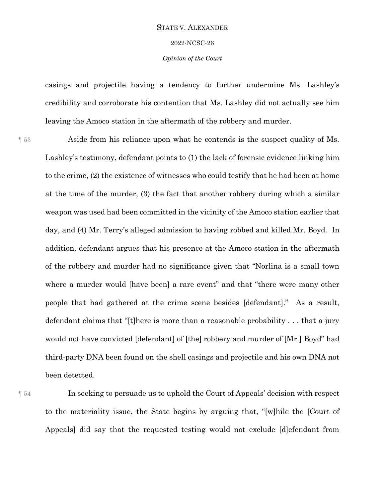# STATE V. ALEXANDER 2022-NCSC-26

*Opinion of the Court*

casings and projectile having a tendency to further undermine Ms. Lashley's credibility and corroborate his contention that Ms. Lashley did not actually see him leaving the Amoco station in the aftermath of the robbery and murder.

¶ 53 Aside from his reliance upon what he contends is the suspect quality of Ms. Lashley's testimony, defendant points to (1) the lack of forensic evidence linking him to the crime, (2) the existence of witnesses who could testify that he had been at home at the time of the murder, (3) the fact that another robbery during which a similar weapon was used had been committed in the vicinity of the Amoco station earlier that day, and (4) Mr. Terry's alleged admission to having robbed and killed Mr. Boyd. In addition, defendant argues that his presence at the Amoco station in the aftermath of the robbery and murder had no significance given that "Norlina is a small town where a murder would [have been] a rare event" and that "there were many other people that had gathered at the crime scene besides [defendant]." As a result, defendant claims that "[t]here is more than a reasonable probability . . . that a jury would not have convicted [defendant] of [the] robbery and murder of [Mr.] Boyd" had third-party DNA been found on the shell casings and projectile and his own DNA not been detected.

¶ 54 In seeking to persuade us to uphold the Court of Appeals' decision with respect to the materiality issue, the State begins by arguing that, "[w]hile the [Court of Appeals] did say that the requested testing would not exclude [d]efendant from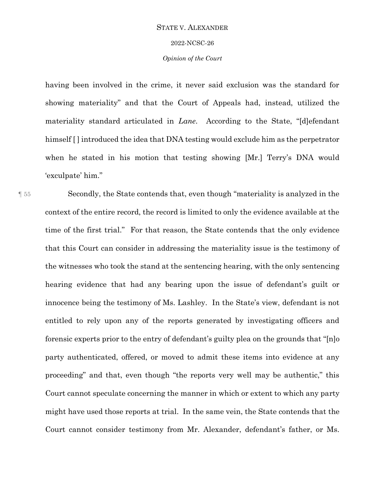#### 2022-NCSC-26

## *Opinion of the Court*

having been involved in the crime, it never said exclusion was the standard for showing materiality" and that the Court of Appeals had, instead, utilized the materiality standard articulated in *Lane*. According to the State, "[d]efendant himself [] introduced the idea that DNA testing would exclude him as the perpetrator when he stated in his motion that testing showing [Mr.] Terry's DNA would 'exculpate' him."

¶ 55 Secondly, the State contends that, even though "materiality is analyzed in the context of the entire record, the record is limited to only the evidence available at the time of the first trial." For that reason, the State contends that the only evidence that this Court can consider in addressing the materiality issue is the testimony of the witnesses who took the stand at the sentencing hearing, with the only sentencing hearing evidence that had any bearing upon the issue of defendant's guilt or innocence being the testimony of Ms. Lashley. In the State's view, defendant is not entitled to rely upon any of the reports generated by investigating officers and forensic experts prior to the entry of defendant's guilty plea on the grounds that "[n]o party authenticated, offered, or moved to admit these items into evidence at any proceeding" and that, even though "the reports very well may be authentic," this Court cannot speculate concerning the manner in which or extent to which any party might have used those reports at trial. In the same vein, the State contends that the Court cannot consider testimony from Mr. Alexander, defendant's father, or Ms.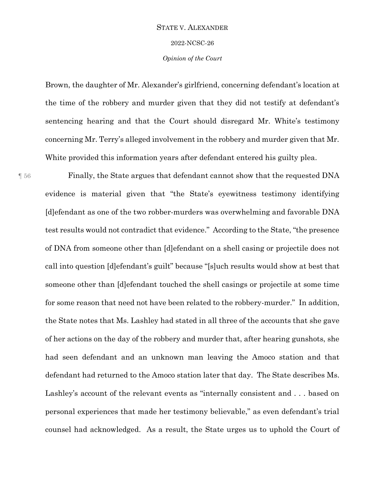2022-NCSC-26

## *Opinion of the Court*

Brown, the daughter of Mr. Alexander's girlfriend, concerning defendant's location at the time of the robbery and murder given that they did not testify at defendant's sentencing hearing and that the Court should disregard Mr. White's testimony concerning Mr. Terry's alleged involvement in the robbery and murder given that Mr. White provided this information years after defendant entered his guilty plea.

¶ 56 Finally, the State argues that defendant cannot show that the requested DNA evidence is material given that "the State's eyewitness testimony identifying [d]efendant as one of the two robber-murders was overwhelming and favorable DNA test results would not contradict that evidence." According to the State, "the presence of DNA from someone other than [d]efendant on a shell casing or projectile does not call into question [d]efendant's guilt" because "[s]uch results would show at best that someone other than [d]efendant touched the shell casings or projectile at some time for some reason that need not have been related to the robbery-murder." In addition, the State notes that Ms. Lashley had stated in all three of the accounts that she gave of her actions on the day of the robbery and murder that, after hearing gunshots, she had seen defendant and an unknown man leaving the Amoco station and that defendant had returned to the Amoco station later that day. The State describes Ms. Lashley's account of the relevant events as "internally consistent and . . . based on personal experiences that made her testimony believable," as even defendant's trial counsel had acknowledged. As a result, the State urges us to uphold the Court of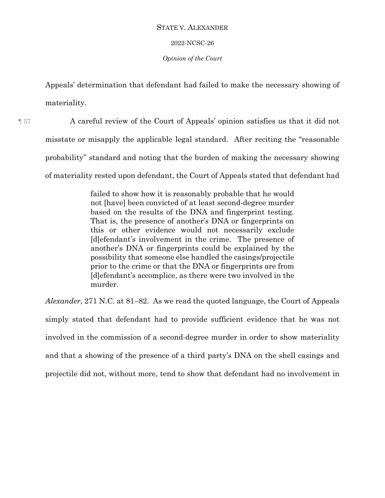## 2022-NCSC-26

## *Opinion of the Court*

Appeals' determination that defendant had failed to make the necessary showing of materiality.

¶ 57 A careful review of the Court of Appeals' opinion satisfies us that it did not misstate or misapply the applicable legal standard. After reciting the "reasonable probability" standard and noting that the burden of making the necessary showing of materiality rested upon defendant, the Court of Appeals stated that defendant had

> failed to show how it is reasonably probable that he would not [have] been convicted of at least second-degree murder based on the results of the DNA and fingerprint testing. That is, the presence of another's DNA or fingerprints on this or other evidence would not necessarily exclude [d]efendant's involvement in the crime. The presence of another's DNA or fingerprints could be explained by the possibility that someone else handled the casings/projectile prior to the crime or that the DNA or fingerprints are from [d]efendant's accomplice, as there were two involved in the murder.

*Alexander*, 271 N.C. at 81–82. As we read the quoted language, the Court of Appeals simply stated that defendant had to provide sufficient evidence that he was not involved in the commission of a second-degree murder in order to show materiality and that a showing of the presence of a third party's DNA on the shell casings and projectile did not, without more, tend to show that defendant had no involvement in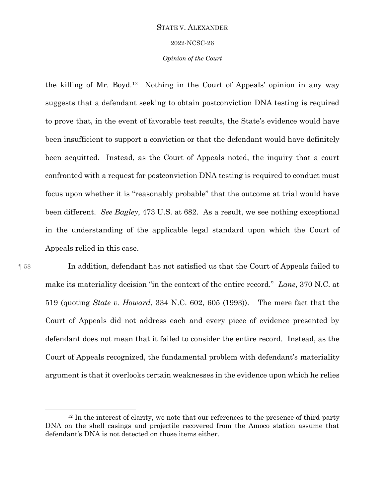#### 2022-NCSC-26

## *Opinion of the Court*

the killing of Mr. Boyd.<sup>12</sup> Nothing in the Court of Appeals' opinion in any way suggests that a defendant seeking to obtain postconviction DNA testing is required to prove that, in the event of favorable test results, the State's evidence would have been insufficient to support a conviction or that the defendant would have definitely been acquitted. Instead, as the Court of Appeals noted, the inquiry that a court confronted with a request for postconviction DNA testing is required to conduct must focus upon whether it is "reasonably probable" that the outcome at trial would have been different. *See Bagley*, 473 U.S. at 682. As a result, we see nothing exceptional in the understanding of the applicable legal standard upon which the Court of Appeals relied in this case.

 $\overline{a}$ 

¶ 58 In addition, defendant has not satisfied us that the Court of Appeals failed to make its materiality decision "in the context of the entire record." *Lane*, 370 N.C. at 519 (quoting *State v. Howard*, 334 N.C. 602, 605 (1993)). The mere fact that the Court of Appeals did not address each and every piece of evidence presented by defendant does not mean that it failed to consider the entire record. Instead, as the Court of Appeals recognized, the fundamental problem with defendant's materiality argument is that it overlooks certain weaknesses in the evidence upon which he relies

 $12$  In the interest of clarity, we note that our references to the presence of third-party DNA on the shell casings and projectile recovered from the Amoco station assume that defendant's DNA is not detected on those items either.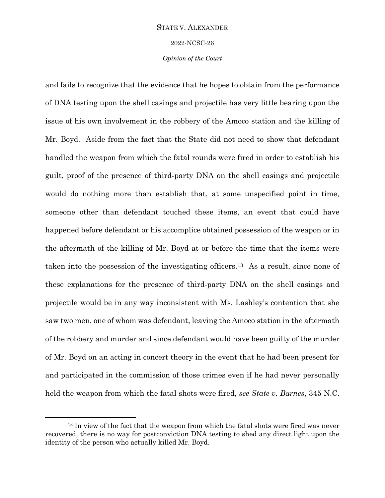2022-NCSC-26

*Opinion of the Court*

and fails to recognize that the evidence that he hopes to obtain from the performance of DNA testing upon the shell casings and projectile has very little bearing upon the issue of his own involvement in the robbery of the Amoco station and the killing of Mr. Boyd. Aside from the fact that the State did not need to show that defendant handled the weapon from which the fatal rounds were fired in order to establish his guilt, proof of the presence of third-party DNA on the shell casings and projectile would do nothing more than establish that, at some unspecified point in time, someone other than defendant touched these items, an event that could have happened before defendant or his accomplice obtained possession of the weapon or in the aftermath of the killing of Mr. Boyd at or before the time that the items were taken into the possession of the investigating officers.13 As a result, since none of these explanations for the presence of third-party DNA on the shell casings and projectile would be in any way inconsistent with Ms. Lashley's contention that she saw two men, one of whom was defendant, leaving the Amoco station in the aftermath of the robbery and murder and since defendant would have been guilty of the murder of Mr. Boyd on an acting in concert theory in the event that he had been present for and participated in the commission of those crimes even if he had never personally held the weapon from which the fatal shots were fired, *see State v. Barnes*, 345 N.C.

 $\overline{a}$ 

<sup>&</sup>lt;sup>13</sup> In view of the fact that the weapon from which the fatal shots were fired was never recovered, there is no way for postconviction DNA testing to shed any direct light upon the identity of the person who actually killed Mr. Boyd.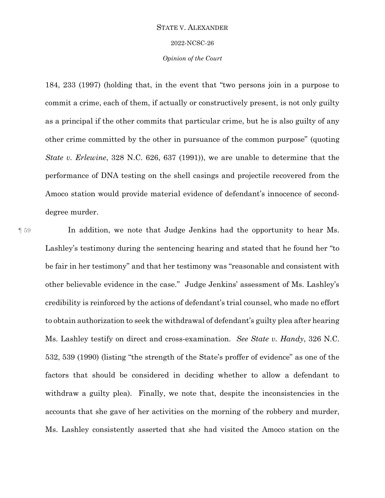#### 2022-NCSC-26

## *Opinion of the Court*

184, 233 (1997) (holding that, in the event that "two persons join in a purpose to commit a crime, each of them, if actually or constructively present, is not only guilty as a principal if the other commits that particular crime, but he is also guilty of any other crime committed by the other in pursuance of the common purpose" (quoting *State v. Erlewine*, 328 N.C. 626, 637 (1991)), we are unable to determine that the performance of DNA testing on the shell casings and projectile recovered from the Amoco station would provide material evidence of defendant's innocence of seconddegree murder.

¶ 59 In addition, we note that Judge Jenkins had the opportunity to hear Ms. Lashley's testimony during the sentencing hearing and stated that he found her "to be fair in her testimony" and that her testimony was "reasonable and consistent with other believable evidence in the case." Judge Jenkins' assessment of Ms. Lashley's credibility is reinforced by the actions of defendant's trial counsel, who made no effort to obtain authorization to seek the withdrawal of defendant's guilty plea after hearing Ms. Lashley testify on direct and cross-examination. *See State v. Handy*, 326 N.C. 532, 539 (1990) (listing "the strength of the State's proffer of evidence" as one of the factors that should be considered in deciding whether to allow a defendant to withdraw a guilty plea). Finally, we note that, despite the inconsistencies in the accounts that she gave of her activities on the morning of the robbery and murder, Ms. Lashley consistently asserted that she had visited the Amoco station on the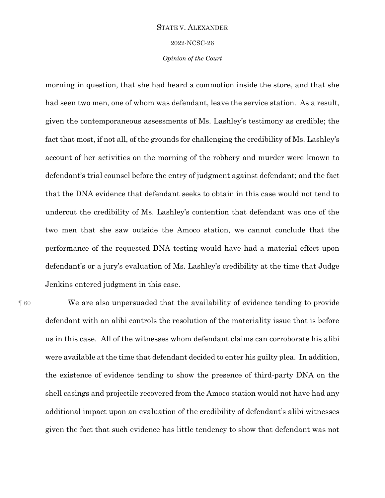2022-NCSC-26

## *Opinion of the Court*

morning in question, that she had heard a commotion inside the store, and that she had seen two men, one of whom was defendant, leave the service station. As a result, given the contemporaneous assessments of Ms. Lashley's testimony as credible; the fact that most, if not all, of the grounds for challenging the credibility of Ms. Lashley's account of her activities on the morning of the robbery and murder were known to defendant's trial counsel before the entry of judgment against defendant; and the fact that the DNA evidence that defendant seeks to obtain in this case would not tend to undercut the credibility of Ms. Lashley's contention that defendant was one of the two men that she saw outside the Amoco station, we cannot conclude that the performance of the requested DNA testing would have had a material effect upon defendant's or a jury's evaluation of Ms. Lashley's credibility at the time that Judge Jenkins entered judgment in this case.

¶ 60 We are also unpersuaded that the availability of evidence tending to provide defendant with an alibi controls the resolution of the materiality issue that is before us in this case. All of the witnesses whom defendant claims can corroborate his alibi were available at the time that defendant decided to enter his guilty plea. In addition, the existence of evidence tending to show the presence of third-party DNA on the shell casings and projectile recovered from the Amoco station would not have had any additional impact upon an evaluation of the credibility of defendant's alibi witnesses given the fact that such evidence has little tendency to show that defendant was not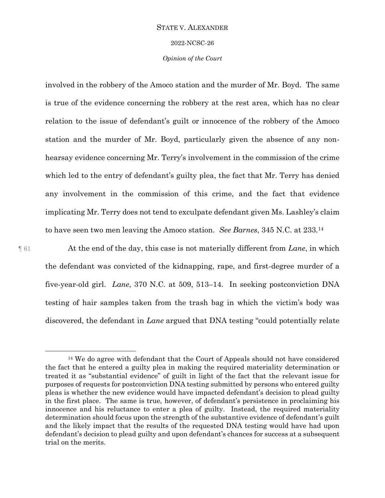#### 2022-NCSC-26

## *Opinion of the Court*

involved in the robbery of the Amoco station and the murder of Mr. Boyd. The same is true of the evidence concerning the robbery at the rest area, which has no clear relation to the issue of defendant's guilt or innocence of the robbery of the Amoco station and the murder of Mr. Boyd, particularly given the absence of any nonhearsay evidence concerning Mr. Terry's involvement in the commission of the crime which led to the entry of defendant's guilty plea, the fact that Mr. Terry has denied any involvement in the commission of this crime, and the fact that evidence implicating Mr. Terry does not tend to exculpate defendant given Ms. Lashley's claim to have seen two men leaving the Amoco station. *See Barnes*, 345 N.C. at 233.<sup>14</sup>

 $\overline{a}$ 

¶ 61 At the end of the day, this case is not materially different from *Lane*, in which the defendant was convicted of the kidnapping, rape, and first-degree murder of a five-year-old girl. *Lane*, 370 N.C. at 509, 513–14. In seeking postconviction DNA testing of hair samples taken from the trash bag in which the victim's body was discovered, the defendant in *Lane* argued that DNA testing "could potentially relate

<sup>&</sup>lt;sup>14</sup> We do agree with defendant that the Court of Appeals should not have considered the fact that he entered a guilty plea in making the required materiality determination or treated it as "substantial evidence" of guilt in light of the fact that the relevant issue for purposes of requests for postconviction DNA testing submitted by persons who entered guilty pleas is whether the new evidence would have impacted defendant's decision to plead guilty in the first place. The same is true, however, of defendant's persistence in proclaiming his innocence and his reluctance to enter a plea of guilty. Instead, the required materiality determination should focus upon the strength of the substantive evidence of defendant's guilt and the likely impact that the results of the requested DNA testing would have had upon defendant's decision to plead guilty and upon defendant's chances for success at a subsequent trial on the merits.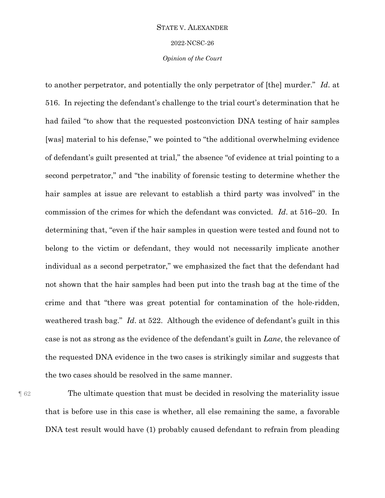2022-NCSC-26

*Opinion of the Court*

to another perpetrator, and potentially the only perpetrator of [the] murder." *Id*. at 516. In rejecting the defendant's challenge to the trial court's determination that he had failed "to show that the requested postconviction DNA testing of hair samples [was] material to his defense," we pointed to "the additional overwhelming evidence of defendant's guilt presented at trial," the absence "of evidence at trial pointing to a second perpetrator," and "the inability of forensic testing to determine whether the hair samples at issue are relevant to establish a third party was involved" in the commission of the crimes for which the defendant was convicted. *Id*. at 516–20. In determining that, "even if the hair samples in question were tested and found not to belong to the victim or defendant, they would not necessarily implicate another individual as a second perpetrator," we emphasized the fact that the defendant had not shown that the hair samples had been put into the trash bag at the time of the crime and that "there was great potential for contamination of the hole-ridden, weathered trash bag." *Id*. at 522. Although the evidence of defendant's guilt in this case is not as strong as the evidence of the defendant's guilt in *Lane*, the relevance of the requested DNA evidence in the two cases is strikingly similar and suggests that the two cases should be resolved in the same manner.

¶ 62 The ultimate question that must be decided in resolving the materiality issue that is before use in this case is whether, all else remaining the same, a favorable DNA test result would have (1) probably caused defendant to refrain from pleading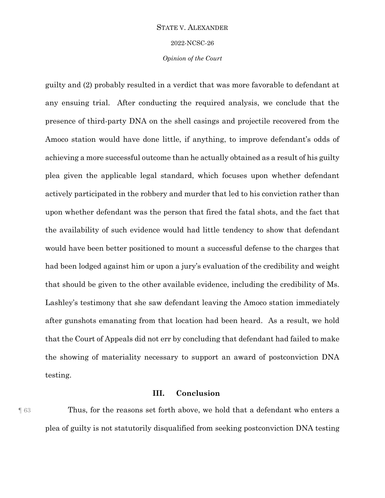2022-NCSC-26

*Opinion of the Court*

guilty and (2) probably resulted in a verdict that was more favorable to defendant at any ensuing trial. After conducting the required analysis, we conclude that the presence of third-party DNA on the shell casings and projectile recovered from the Amoco station would have done little, if anything, to improve defendant's odds of achieving a more successful outcome than he actually obtained as a result of his guilty plea given the applicable legal standard, which focuses upon whether defendant actively participated in the robbery and murder that led to his conviction rather than upon whether defendant was the person that fired the fatal shots, and the fact that the availability of such evidence would had little tendency to show that defendant would have been better positioned to mount a successful defense to the charges that had been lodged against him or upon a jury's evaluation of the credibility and weight that should be given to the other available evidence, including the credibility of Ms. Lashley's testimony that she saw defendant leaving the Amoco station immediately after gunshots emanating from that location had been heard. As a result, we hold that the Court of Appeals did not err by concluding that defendant had failed to make the showing of materiality necessary to support an award of postconviction DNA testing.

## **III. Conclusion**

¶ 63 Thus, for the reasons set forth above, we hold that a defendant who enters a plea of guilty is not statutorily disqualified from seeking postconviction DNA testing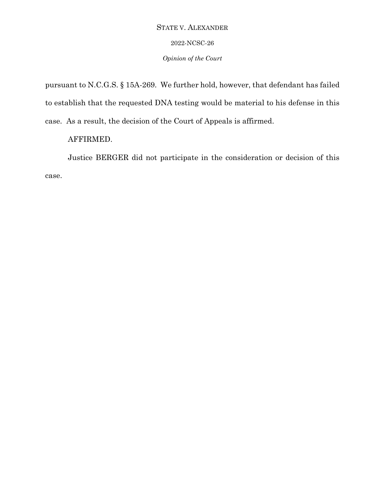## 2022-NCSC-26

## *Opinion of the Court*

pursuant to N.C.G.S. § 15A-269. We further hold, however, that defendant has failed to establish that the requested DNA testing would be material to his defense in this case. As a result, the decision of the Court of Appeals is affirmed.

# AFFIRMED.

Justice BERGER did not participate in the consideration or decision of this case.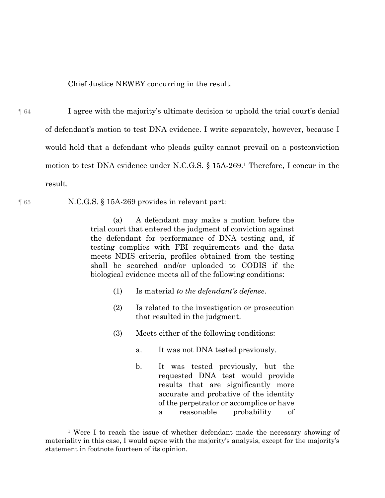Chief Justice NEWBY concurring in the result.

¶ 64 I agree with the majority's ultimate decision to uphold the trial court's denial of defendant's motion to test DNA evidence. I write separately, however, because I would hold that a defendant who pleads guilty cannot prevail on a postconviction motion to test DNA evidence under N.C.G.S. § 15A-269.<sup>1</sup> Therefore, I concur in the result.

 $\overline{a}$ 

¶ 65 N.C.G.S. § 15A-269 provides in relevant part:

(a) A defendant may make a motion before the trial court that entered the judgment of conviction against the defendant for performance of DNA testing and, if testing complies with FBI requirements and the data meets NDIS criteria, profiles obtained from the testing shall be searched and/or uploaded to CODIS if the biological evidence meets all of the following conditions:

- (1) Is material *to the defendant's defense*.
- (2) Is related to the investigation or prosecution that resulted in the judgment.
- (3) Meets either of the following conditions:
	- a. It was not DNA tested previously.
	- b. It was tested previously, but the requested DNA test would provide results that are significantly more accurate and probative of the identity of the perpetrator or accomplice or have a reasonable probability of

<sup>&</sup>lt;sup>1</sup> Were I to reach the issue of whether defendant made the necessary showing of materiality in this case, I would agree with the majority's analysis, except for the majority's statement in footnote fourteen of its opinion.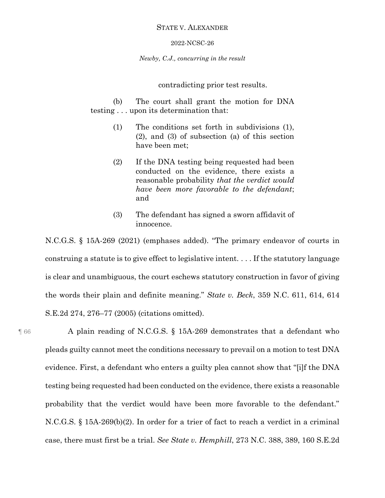#### 2022-NCSC-26

*Newby, C.J., concurring in the result*

## contradicting prior test results.

(b) The court shall grant the motion for DNA testing . . . upon its determination that:

- (1) The conditions set forth in subdivisions (1), (2), and (3) of subsection (a) of this section have been met;
- (2) If the DNA testing being requested had been conducted on the evidence, there exists a reasonable probability *that the verdict would have been more favorable to the defendant*; and
- (3) The defendant has signed a sworn affidavit of innocence.

N.C.G.S. § 15A-269 (2021) (emphases added). "The primary endeavor of courts in construing a statute is to give effect to legislative intent. . . . If the statutory language is clear and unambiguous, the court eschews statutory construction in favor of giving the words their plain and definite meaning." *State v. Beck*, 359 N.C. 611, 614, 614 S.E.2d 274, 276–77 (2005) (citations omitted).

¶ 66 A plain reading of N.C.G.S. § 15A-269 demonstrates that a defendant who pleads guilty cannot meet the conditions necessary to prevail on a motion to test DNA evidence. First, a defendant who enters a guilty plea cannot show that "[i]f the DNA testing being requested had been conducted on the evidence, there exists a reasonable probability that the verdict would have been more favorable to the defendant." N.C.G.S. § 15A-269(b)(2). In order for a trier of fact to reach a verdict in a criminal case, there must first be a trial. *See State v. Hemphill*, 273 N.C. 388, 389, 160 S.E.2d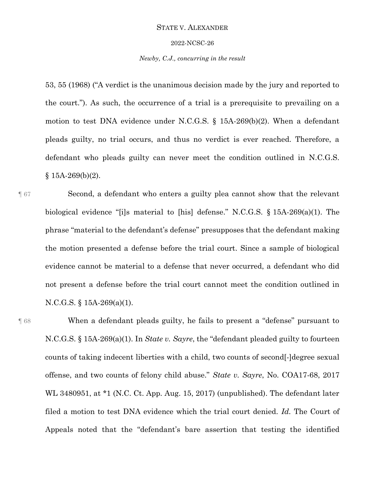#### 2022-NCSC-26

## *Newby, C.J., concurring in the result*

53, 55 (1968) ("A verdict is the unanimous decision made by the jury and reported to the court."). As such, the occurrence of a trial is a prerequisite to prevailing on a motion to test DNA evidence under N.C.G.S. § 15A-269(b)(2). When a defendant pleads guilty, no trial occurs, and thus no verdict is ever reached. Therefore, a defendant who pleads guilty can never meet the condition outlined in N.C.G.S.  $§$  15A-269(b)(2).

¶ 67 Second, a defendant who enters a guilty plea cannot show that the relevant biological evidence "[i]s material to [his] defense." N.C.G.S. § 15A-269(a)(1). The phrase "material to the defendant's defense" presupposes that the defendant making the motion presented a defense before the trial court. Since a sample of biological evidence cannot be material to a defense that never occurred, a defendant who did not present a defense before the trial court cannot meet the condition outlined in N.C.G.S. § 15A-269(a)(1).

¶ 68 When a defendant pleads guilty, he fails to present a "defense" pursuant to N.C.G.S. § 15A-269(a)(1). In *State v. Sayre*, the "defendant pleaded guilty to fourteen counts of taking indecent liberties with a child, two counts of second[-]degree sexual offense, and two counts of felony child abuse." *State v. Sayre*, No. COA17-68, 2017 WL 3480951, at \*1 (N.C. Ct. App. Aug. 15, 2017) (unpublished). The defendant later filed a motion to test DNA evidence which the trial court denied. *Id.* The Court of Appeals noted that the "defendant's bare assertion that testing the identified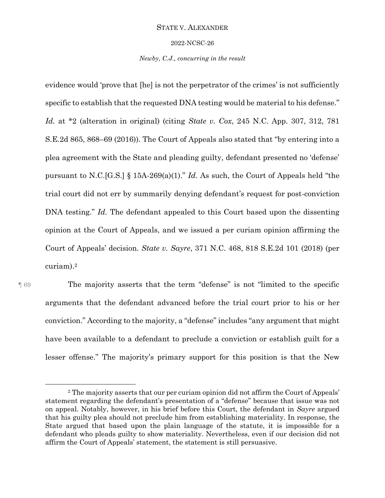#### 2022-NCSC-26

## *Newby, C.J., concurring in the result*

evidence would 'prove that [he] is not the perpetrator of the crimes' is not sufficiently specific to establish that the requested DNA testing would be material to his defense." *Id.* at \*2 (alteration in original) (citing *State v. Cox*, 245 N.C. App. 307, 312, 781 S.E.2d 865, 868–69 (2016)). The Court of Appeals also stated that "by entering into a plea agreement with the State and pleading guilty, defendant presented no 'defense' pursuant to N.C.[G.S.] § 15A-269(a)(1)." *Id.* As such, the Court of Appeals held "the trial court did not err by summarily denying defendant's request for post-conviction DNA testing." *Id.* The defendant appealed to this Court based upon the dissenting opinion at the Court of Appeals, and we issued a per curiam opinion affirming the Court of Appeals' decision. *State v. Sayre*, 371 N.C. 468, 818 S.E.2d 101 (2018) (per curiam).<sup>2</sup>

 $\overline{a}$ 

¶ 69 The majority asserts that the term "defense" is not "limited to the specific arguments that the defendant advanced before the trial court prior to his or her conviction." According to the majority, a "defense" includes "any argument that might have been available to a defendant to preclude a conviction or establish guilt for a lesser offense." The majority's primary support for this position is that the New

<sup>&</sup>lt;sup>2</sup> The majority asserts that our per curiam opinion did not affirm the Court of Appeals' statement regarding the defendant's presentation of a "defense" because that issue was not on appeal. Notably, however, in his brief before this Court, the defendant in *Sayre* argued that his guilty plea should not preclude him from establishing materiality. In response, the State argued that based upon the plain language of the statute, it is impossible for a defendant who pleads guilty to show materiality. Nevertheless, even if our decision did not affirm the Court of Appeals' statement, the statement is still persuasive.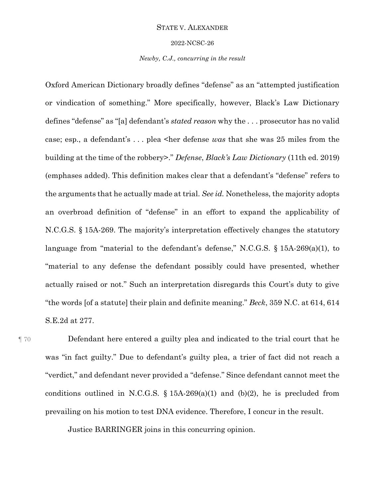#### 2022-NCSC-26

## *Newby, C.J., concurring in the result*

Oxford American Dictionary broadly defines "defense" as an "attempted justification or vindication of something." More specifically, however, Black's Law Dictionary defines "defense" as "[a] defendant's *stated reason* why the . . . prosecutor has no valid case; esp., a defendant's . . . plea <her defense *was* that she was 25 miles from the building at the time of the robbery>." *Defense*, *Black's Law Dictionary* (11th ed. 2019) (emphases added). This definition makes clear that a defendant's "defense" refers to the arguments that he actually made at trial. *See id.* Nonetheless, the majority adopts an overbroad definition of "defense" in an effort to expand the applicability of N.C.G.S. § 15A-269. The majority's interpretation effectively changes the statutory language from "material to the defendant's defense," N.C.G.S. § 15A-269(a)(1), to "material to any defense the defendant possibly could have presented, whether actually raised or not." Such an interpretation disregards this Court's duty to give "the words [of a statute] their plain and definite meaning." *Beck*, 359 N.C. at 614, 614 S.E.2d at 277.

¶ 70 Defendant here entered a guilty plea and indicated to the trial court that he was "in fact guilty." Due to defendant's guilty plea, a trier of fact did not reach a "verdict," and defendant never provided a "defense." Since defendant cannot meet the conditions outlined in N.C.G.S.  $\S$  15A-269(a)(1) and (b)(2), he is precluded from prevailing on his motion to test DNA evidence. Therefore, I concur in the result.

Justice BARRINGER joins in this concurring opinion.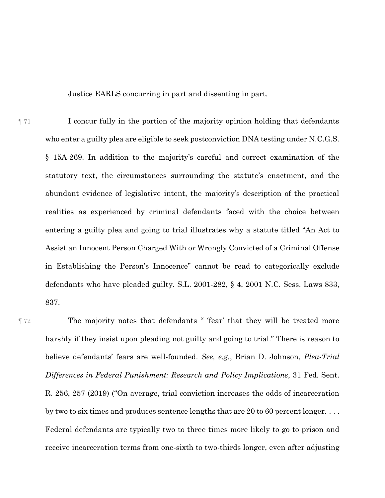Justice EARLS concurring in part and dissenting in part.

 $\llbracket$  71 I concur fully in the portion of the majority opinion holding that defendants who enter a guilty plea are eligible to seek postconviction DNA testing under N.C.G.S. § 15A-269. In addition to the majority's careful and correct examination of the statutory text, the circumstances surrounding the statute's enactment, and the abundant evidence of legislative intent, the majority's description of the practical realities as experienced by criminal defendants faced with the choice between entering a guilty plea and going to trial illustrates why a statute titled "An Act to Assist an Innocent Person Charged With or Wrongly Convicted of a Criminal Offense in Establishing the Person's Innocence" cannot be read to categorically exclude defendants who have pleaded guilty. S.L. 2001-282, § 4, 2001 N.C. Sess. Laws 833, 837.

¶ 72 The majority notes that defendants " 'fear' that they will be treated more harshly if they insist upon pleading not guilty and going to trial." There is reason to believe defendants' fears are well-founded. *See, e.g.*, Brian D. Johnson, *Plea-Trial Differences in Federal Punishment: Research and Policy Implications*, 31 Fed. Sent. R. 256, 257 (2019) ("On average, trial conviction increases the odds of incarceration by two to six times and produces sentence lengths that are 20 to 60 percent longer. . . . Federal defendants are typically two to three times more likely to go to prison and receive incarceration terms from one-sixth to two-thirds longer, even after adjusting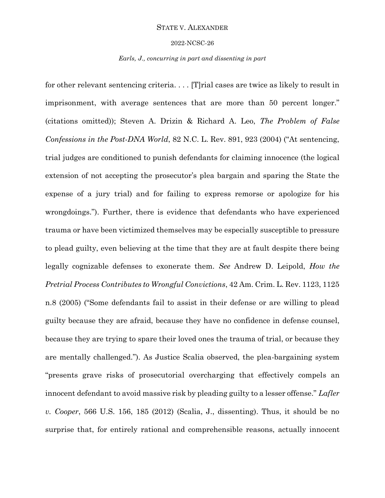#### 2022-NCSC-26

#### *Earls, J., concurring in part and dissenting in part*

for other relevant sentencing criteria. . . . [T]rial cases are twice as likely to result in imprisonment, with average sentences that are more than 50 percent longer." (citations omitted)); Steven A. Drizin & Richard A. Leo, *The Problem of False Confessions in the Post-DNA World*, 82 N.C. L. Rev. 891, 923 (2004) ("At sentencing, trial judges are conditioned to punish defendants for claiming innocence (the logical extension of not accepting the prosecutor's plea bargain and sparing the State the expense of a jury trial) and for failing to express remorse or apologize for his wrongdoings."). Further, there is evidence that defendants who have experienced trauma or have been victimized themselves may be especially susceptible to pressure to plead guilty, even believing at the time that they are at fault despite there being legally cognizable defenses to exonerate them. *See* Andrew D. Leipold, *How the Pretrial Process Contributes to Wrongful Convictions*, 42 Am. Crim. L. Rev. 1123, 1125 n.8 (2005) ("Some defendants fail to assist in their defense or are willing to plead guilty because they are afraid, because they have no confidence in defense counsel, because they are trying to spare their loved ones the trauma of trial, or because they are mentally challenged."). As Justice Scalia observed, the plea-bargaining system "presents grave risks of prosecutorial overcharging that effectively compels an innocent defendant to avoid massive risk by pleading guilty to a lesser offense." *Lafler v. Cooper*, 566 U.S. 156, 185 (2012) (Scalia, J., dissenting). Thus, it should be no surprise that, for entirely rational and comprehensible reasons, actually innocent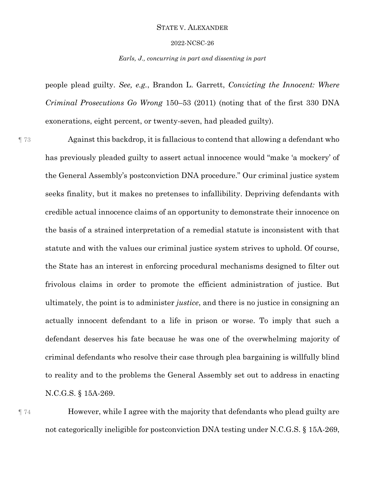#### 2022-NCSC-26

## *Earls, J., concurring in part and dissenting in part*

people plead guilty. *See, e.g.*, Brandon L. Garrett, *Convicting the Innocent: Where Criminal Prosecutions Go Wrong* 150–53 (2011) (noting that of the first 330 DNA exonerations, eight percent, or twenty-seven, had pleaded guilty).

¶ 73 Against this backdrop, it is fallacious to contend that allowing a defendant who has previously pleaded guilty to assert actual innocence would "make 'a mockery' of the General Assembly's postconviction DNA procedure." Our criminal justice system seeks finality, but it makes no pretenses to infallibility. Depriving defendants with credible actual innocence claims of an opportunity to demonstrate their innocence on the basis of a strained interpretation of a remedial statute is inconsistent with that statute and with the values our criminal justice system strives to uphold. Of course, the State has an interest in enforcing procedural mechanisms designed to filter out frivolous claims in order to promote the efficient administration of justice. But ultimately, the point is to administer *justice*, and there is no justice in consigning an actually innocent defendant to a life in prison or worse. To imply that such a defendant deserves his fate because he was one of the overwhelming majority of criminal defendants who resolve their case through plea bargaining is willfully blind to reality and to the problems the General Assembly set out to address in enacting N.C.G.S. § 15A-269.

¶ 74 However, while I agree with the majority that defendants who plead guilty are not categorically ineligible for postconviction DNA testing under N.C.G.S. § 15A-269,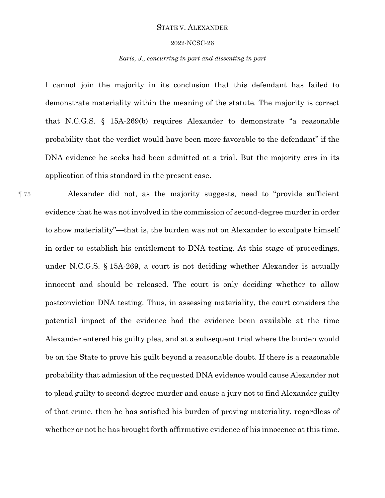#### 2022-NCSC-26

## *Earls, J., concurring in part and dissenting in part*

I cannot join the majority in its conclusion that this defendant has failed to demonstrate materiality within the meaning of the statute. The majority is correct that N.C.G.S. § 15A-269(b) requires Alexander to demonstrate "a reasonable probability that the verdict would have been more favorable to the defendant" if the DNA evidence he seeks had been admitted at a trial. But the majority errs in its application of this standard in the present case.

¶ 75 Alexander did not, as the majority suggests, need to "provide sufficient evidence that he was not involved in the commission of second-degree murder in order to show materiality"—that is, the burden was not on Alexander to exculpate himself in order to establish his entitlement to DNA testing. At this stage of proceedings, under N.C.G.S. § 15A-269, a court is not deciding whether Alexander is actually innocent and should be released. The court is only deciding whether to allow postconviction DNA testing. Thus, in assessing materiality, the court considers the potential impact of the evidence had the evidence been available at the time Alexander entered his guilty plea, and at a subsequent trial where the burden would be on the State to prove his guilt beyond a reasonable doubt. If there is a reasonable probability that admission of the requested DNA evidence would cause Alexander not to plead guilty to second-degree murder and cause a jury not to find Alexander guilty of that crime, then he has satisfied his burden of proving materiality, regardless of whether or not he has brought forth affirmative evidence of his innocence at this time.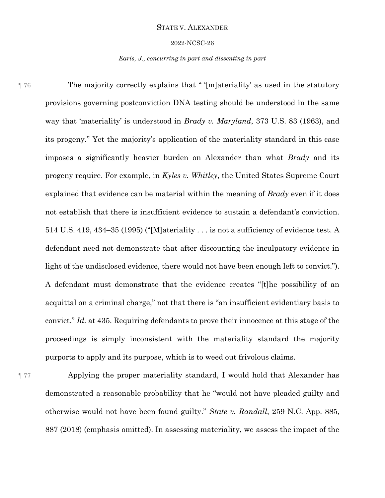#### 2022-NCSC-26

## *Earls, J., concurring in part and dissenting in part*

¶ 76 The majority correctly explains that " '[m]ateriality' as used in the statutory provisions governing postconviction DNA testing should be understood in the same way that 'materiality' is understood in *Brady v. Maryland*, 373 U.S. 83 (1963), and its progeny." Yet the majority's application of the materiality standard in this case imposes a significantly heavier burden on Alexander than what *Brady* and its progeny require. For example, in *Kyles v. Whitley*, the United States Supreme Court explained that evidence can be material within the meaning of *Brady* even if it does not establish that there is insufficient evidence to sustain a defendant's conviction. 514 U.S. 419, 434–35 (1995) ("[M]ateriality . . . is not a sufficiency of evidence test. A defendant need not demonstrate that after discounting the inculpatory evidence in light of the undisclosed evidence, there would not have been enough left to convict."). A defendant must demonstrate that the evidence creates "[t]he possibility of an acquittal on a criminal charge," not that there is "an insufficient evidentiary basis to convict." *Id.* at 435. Requiring defendants to prove their innocence at this stage of the proceedings is simply inconsistent with the materiality standard the majority purports to apply and its purpose, which is to weed out frivolous claims.

¶ 77 Applying the proper materiality standard, I would hold that Alexander has demonstrated a reasonable probability that he "would not have pleaded guilty and otherwise would not have been found guilty." *State v. Randall*, 259 N.C. App. 885, 887 (2018) (emphasis omitted). In assessing materiality, we assess the impact of the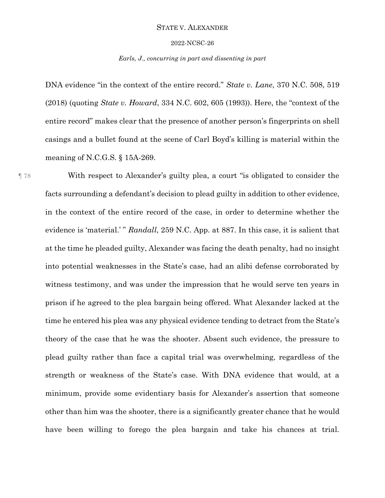#### 2022-NCSC-26

### *Earls, J., concurring in part and dissenting in part*

DNA evidence "in the context of the entire record." *State v. Lane*, 370 N.C. 508, 519 (2018) (quoting *State v. Howard*, 334 N.C. 602, 605 (1993)). Here, the "context of the entire record" makes clear that the presence of another person's fingerprints on shell casings and a bullet found at the scene of Carl Boyd's killing is material within the meaning of N.C.G.S. § 15A-269.

¶ 78 With respect to Alexander's guilty plea, a court "is obligated to consider the facts surrounding a defendant's decision to plead guilty in addition to other evidence, in the context of the entire record of the case, in order to determine whether the evidence is 'material.' " *Randall*, 259 N.C. App. at 887. In this case, it is salient that at the time he pleaded guilty, Alexander was facing the death penalty, had no insight into potential weaknesses in the State's case, had an alibi defense corroborated by witness testimony, and was under the impression that he would serve ten years in prison if he agreed to the plea bargain being offered. What Alexander lacked at the time he entered his plea was any physical evidence tending to detract from the State's theory of the case that he was the shooter. Absent such evidence, the pressure to plead guilty rather than face a capital trial was overwhelming, regardless of the strength or weakness of the State's case. With DNA evidence that would, at a minimum, provide some evidentiary basis for Alexander's assertion that someone other than him was the shooter, there is a significantly greater chance that he would have been willing to forego the plea bargain and take his chances at trial.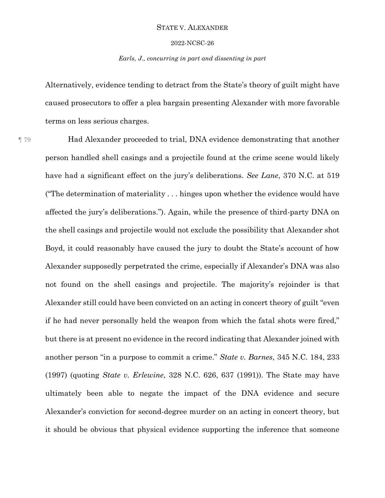#### 2022-NCSC-26

## *Earls, J., concurring in part and dissenting in part*

Alternatively, evidence tending to detract from the State's theory of guilt might have caused prosecutors to offer a plea bargain presenting Alexander with more favorable terms on less serious charges.

¶ 79 Had Alexander proceeded to trial, DNA evidence demonstrating that another person handled shell casings and a projectile found at the crime scene would likely have had a significant effect on the jury's deliberations. *See Lane*, 370 N.C. at 519 ("The determination of materiality . . . hinges upon whether the evidence would have affected the jury's deliberations."). Again, while the presence of third-party DNA on the shell casings and projectile would not exclude the possibility that Alexander shot Boyd, it could reasonably have caused the jury to doubt the State's account of how Alexander supposedly perpetrated the crime, especially if Alexander's DNA was also not found on the shell casings and projectile. The majority's rejoinder is that Alexander still could have been convicted on an acting in concert theory of guilt "even if he had never personally held the weapon from which the fatal shots were fired," but there is at present no evidence in the record indicating that Alexander joined with another person "in a purpose to commit a crime." *State v. Barnes*, 345 N.C. 184, 233 (1997) (quoting *State v. Erlewine*, 328 N.C. 626, 637 (1991)). The State may have ultimately been able to negate the impact of the DNA evidence and secure Alexander's conviction for second-degree murder on an acting in concert theory, but it should be obvious that physical evidence supporting the inference that someone